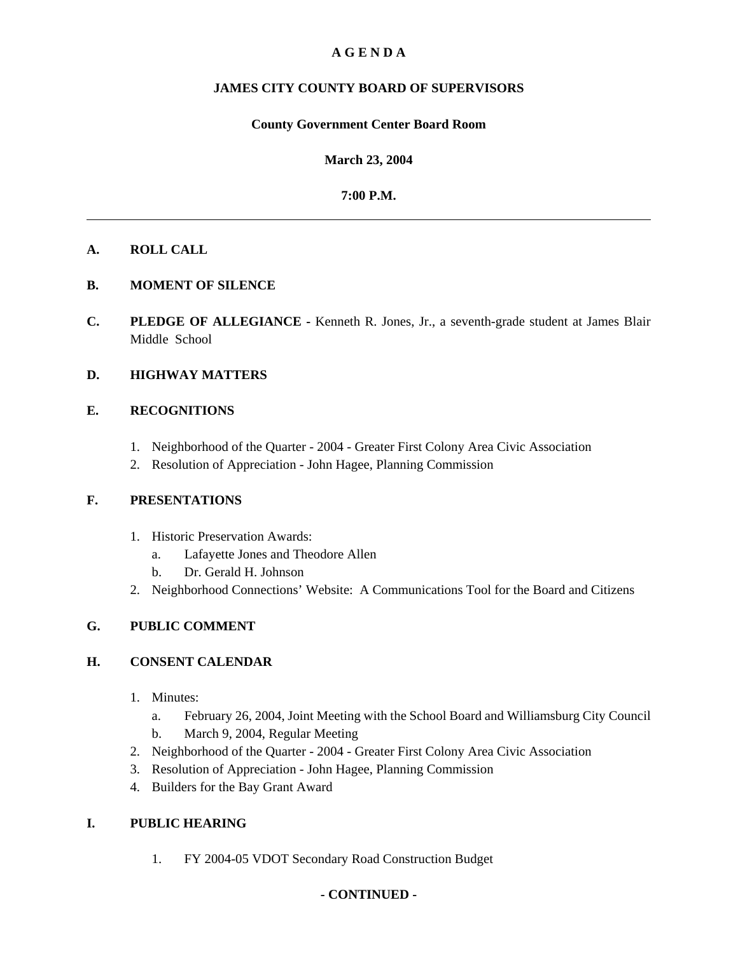# **A G E N D A**

# **JAMES CITY COUNTY BOARD OF SUPERVISORS**

## **County Government Center Board Room**

**March 23, 2004**

## **7:00 P.M.**

## **A. ROLL CALL**

# **B. MOMENT OF SILENCE**

**C. PLEDGE OF ALLEGIANCE -** Kenneth R. Jones, Jr., a seventh-grade student at James Blair Middle School

# **D. HIGHWAY MATTERS**

# **E. RECOGNITIONS**

- 1. Neighborhood of the Quarter 2004 Greater First Colony Area Civic Association
- 2. Resolution of Appreciation John Hagee, Planning Commission

# **F. PRESENTATIONS**

- 1. Historic Preservation Awards:
	- a. Lafayette Jones and Theodore Allen
	- b. Dr. Gerald H. Johnson
- 2. Neighborhood Connections' Website: A Communications Tool for the Board and Citizens

# **G. PUBLIC COMMENT**

# **H. CONSENT CALENDAR**

- 1. Minutes:
	- a. February 26, 2004, Joint Meeting with the School Board and Williamsburg City Council
	- b. March 9, 2004, Regular Meeting
- 2. Neighborhood of the Quarter 2004 Greater First Colony Area Civic Association
- 3. Resolution of Appreciation John Hagee, Planning Commission
- 4. Builders for the Bay Grant Award

# **I. PUBLIC HEARING**

1. FY 2004-05 VDOT Secondary Road Construction Budget

# **- CONTINUED -**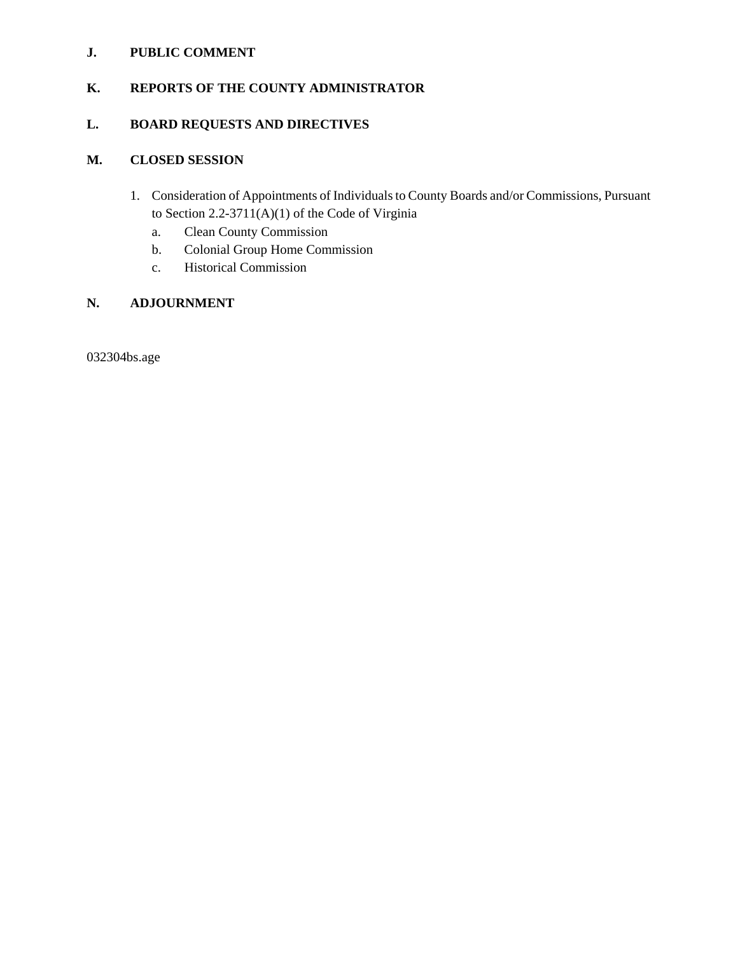# **J. PUBLIC COMMENT**

# **K. REPORTS OF THE COUNTY ADMINISTRATOR**

# **L. BOARD REQUESTS AND DIRECTIVES**

# **M. CLOSED SESSION**

- 1. Consideration of Appointments of Individuals to County Boards and/or Commissions, Pursuant to Section 2.2-3711(A)(1) of the Code of Virginia
	- a. Clean County Commission
	- b. Colonial Group Home Commission
	- c. Historical Commission

# **N. ADJOURNMENT**

032304bs.age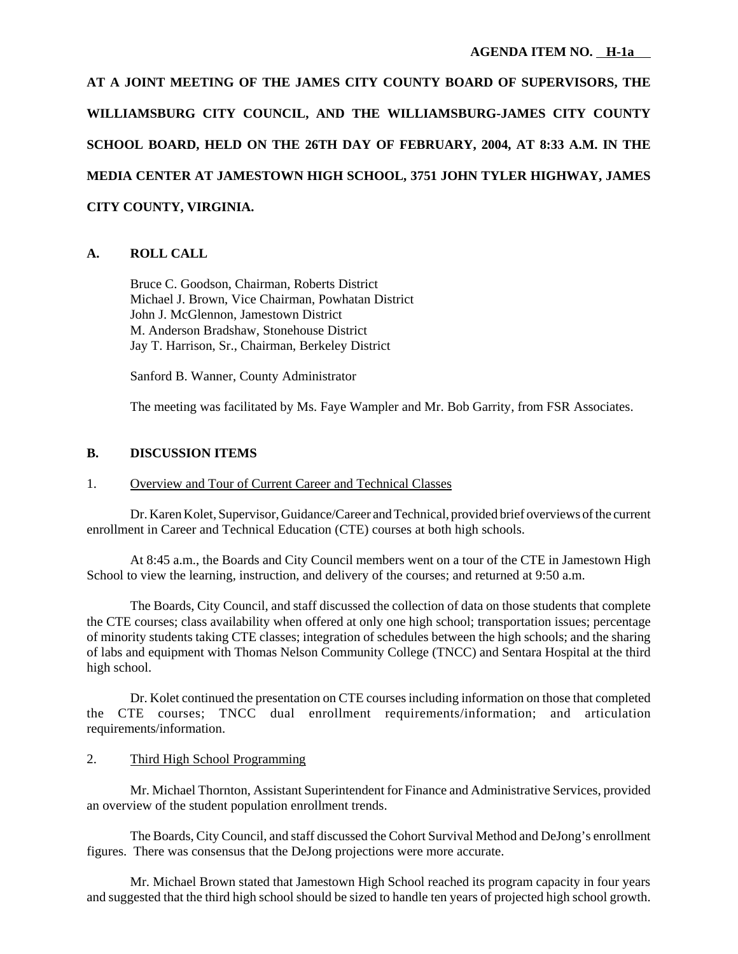**AT A JOINT MEETING OF THE JAMES CITY COUNTY BOARD OF SUPERVISORS, THE WILLIAMSBURG CITY COUNCIL, AND THE WILLIAMSBURG-JAMES CITY COUNTY SCHOOL BOARD, HELD ON THE 26TH DAY OF FEBRUARY, 2004, AT 8:33 A.M. IN THE MEDIA CENTER AT JAMESTOWN HIGH SCHOOL, 3751 JOHN TYLER HIGHWAY, JAMES CITY COUNTY, VIRGINIA.**

# **A. ROLL CALL**

Bruce C. Goodson, Chairman, Roberts District Michael J. Brown, Vice Chairman, Powhatan District John J. McGlennon, Jamestown District M. Anderson Bradshaw, Stonehouse District Jay T. Harrison, Sr., Chairman, Berkeley District

Sanford B. Wanner, County Administrator

The meeting was facilitated by Ms. Faye Wampler and Mr. Bob Garrity, from FSR Associates.

## **B. DISCUSSION ITEMS**

# 1. Overview and Tour of Current Career and Technical Classes

Dr. Karen Kolet, Supervisor, Guidance/Career and Technical, provided brief overviews of the current enrollment in Career and Technical Education (CTE) courses at both high schools.

At 8:45 a.m., the Boards and City Council members went on a tour of the CTE in Jamestown High School to view the learning, instruction, and delivery of the courses; and returned at 9:50 a.m.

The Boards, City Council, and staff discussed the collection of data on those students that complete the CTE courses; class availability when offered at only one high school; transportation issues; percentage of minority students taking CTE classes; integration of schedules between the high schools; and the sharing of labs and equipment with Thomas Nelson Community College (TNCC) and Sentara Hospital at the third high school.

Dr. Kolet continued the presentation on CTE courses including information on those that completed the CTE courses; TNCC dual enrollment requirements/information; and articulation requirements/information.

#### 2. Third High School Programming

Mr. Michael Thornton, Assistant Superintendent for Finance and Administrative Services, provided an overview of the student population enrollment trends.

The Boards, City Council, and staff discussed the Cohort Survival Method and DeJong's enrollment figures. There was consensus that the DeJong projections were more accurate.

Mr. Michael Brown stated that Jamestown High School reached its program capacity in four years and suggested that the third high school should be sized to handle ten years of projected high school growth.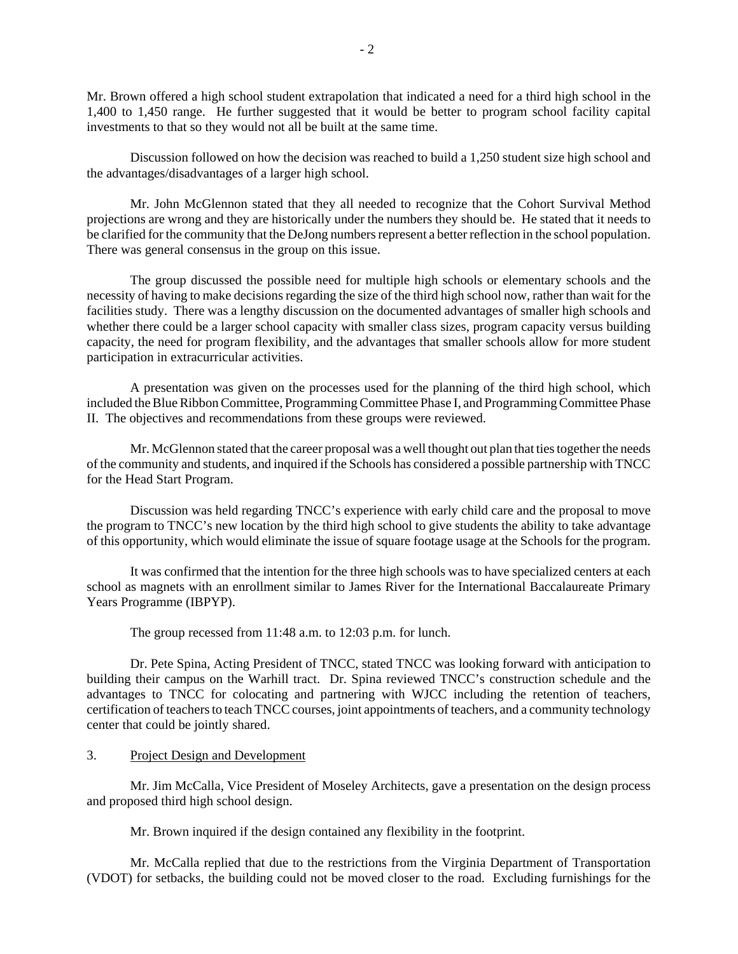Mr. Brown offered a high school student extrapolation that indicated a need for a third high school in the 1,400 to 1,450 range. He further suggested that it would be better to program school facility capital investments to that so they would not all be built at the same time.

Discussion followed on how the decision was reached to build a 1,250 student size high school and the advantages/disadvantages of a larger high school.

Mr. John McGlennon stated that they all needed to recognize that the Cohort Survival Method projections are wrong and they are historically under the numbers they should be. He stated that it needs to be clarified for the community that the DeJong numbers represent a better reflection in the school population. There was general consensus in the group on this issue.

The group discussed the possible need for multiple high schools or elementary schools and the necessity of having to make decisions regarding the size of the third high school now, rather than wait for the facilities study. There was a lengthy discussion on the documented advantages of smaller high schools and whether there could be a larger school capacity with smaller class sizes, program capacity versus building capacity, the need for program flexibility, and the advantages that smaller schools allow for more student participation in extracurricular activities.

A presentation was given on the processes used for the planning of the third high school, which included the Blue Ribbon Committee, Programming Committee Phase I, and Programming Committee Phase II. The objectives and recommendations from these groups were reviewed.

Mr. McGlennon stated that the career proposal was a well thought out plan that ties together the needs of the community and students, and inquired if the Schools has considered a possible partnership with TNCC for the Head Start Program.

Discussion was held regarding TNCC's experience with early child care and the proposal to move the program to TNCC's new location by the third high school to give students the ability to take advantage of this opportunity, which would eliminate the issue of square footage usage at the Schools for the program.

It was confirmed that the intention for the three high schools was to have specialized centers at each school as magnets with an enrollment similar to James River for the International Baccalaureate Primary Years Programme (IBPYP).

The group recessed from 11:48 a.m. to 12:03 p.m. for lunch.

Dr. Pete Spina, Acting President of TNCC, stated TNCC was looking forward with anticipation to building their campus on the Warhill tract. Dr. Spina reviewed TNCC's construction schedule and the advantages to TNCC for colocating and partnering with WJCC including the retention of teachers, certification of teachers to teach TNCC courses, joint appointments of teachers, and a community technology center that could be jointly shared.

#### 3. Project Design and Development

Mr. Jim McCalla, Vice President of Moseley Architects, gave a presentation on the design process and proposed third high school design.

Mr. Brown inquired if the design contained any flexibility in the footprint.

Mr. McCalla replied that due to the restrictions from the Virginia Department of Transportation (VDOT) for setbacks, the building could not be moved closer to the road. Excluding furnishings for the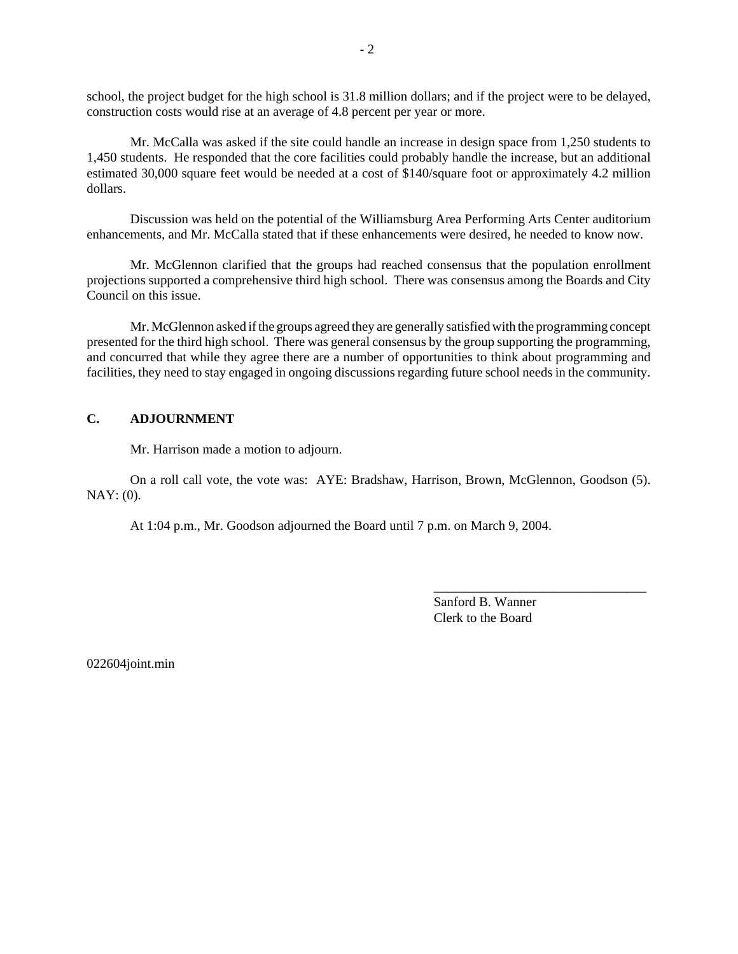school, the project budget for the high school is 31.8 million dollars; and if the project were to be delayed, construction costs would rise at an average of 4.8 percent per year or more.

Mr. McCalla was asked if the site could handle an increase in design space from 1,250 students to 1,450 students. He responded that the core facilities could probably handle the increase, but an additional estimated 30,000 square feet would be needed at a cost of \$140/square foot or approximately 4.2 million dollars.

Discussion was held on the potential of the Williamsburg Area Performing Arts Center auditorium enhancements, and Mr. McCalla stated that if these enhancements were desired, he needed to know now.

Mr. McGlennon clarified that the groups had reached consensus that the population enrollment projections supported a comprehensive third high school. There was consensus among the Boards and City Council on this issue.

Mr. McGlennon asked if the groups agreed they are generally satisfied with the programming concept presented for the third high school. There was general consensus by the group supporting the programming, and concurred that while they agree there are a number of opportunities to think about programming and facilities, they need to stay engaged in ongoing discussions regarding future school needs in the community.

# **C. ADJOURNMENT**

Mr. Harrison made a motion to adjourn.

On a roll call vote, the vote was: AYE: Bradshaw, Harrison, Brown, McGlennon, Goodson (5). NAY: (0).

At 1:04 p.m., Mr. Goodson adjourned the Board until 7 p.m. on March 9, 2004.

Sanford B. Wanner Clerk to the Board

\_\_\_\_\_\_\_\_\_\_\_\_\_\_\_\_\_\_\_\_\_\_\_\_\_\_\_\_\_\_\_\_

022604joint.min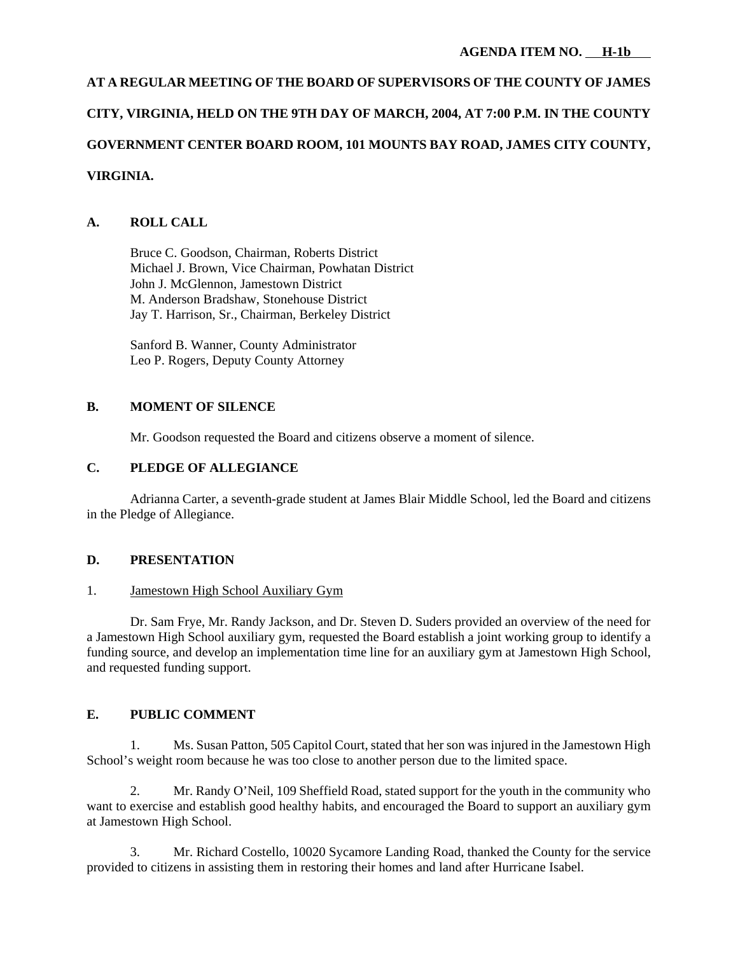# **AT A REGULAR MEETING OF THE BOARD OF SUPERVISORS OF THE COUNTY OF JAMES CITY, VIRGINIA, HELD ON THE 9TH DAY OF MARCH, 2004, AT 7:00 P.M. IN THE COUNTY GOVERNMENT CENTER BOARD ROOM, 101 MOUNTS BAY ROAD, JAMES CITY COUNTY, VIRGINIA.**

# **A. ROLL CALL**

Bruce C. Goodson, Chairman, Roberts District Michael J. Brown, Vice Chairman, Powhatan District John J. McGlennon, Jamestown District M. Anderson Bradshaw, Stonehouse District Jay T. Harrison, Sr., Chairman, Berkeley District

Sanford B. Wanner, County Administrator Leo P. Rogers, Deputy County Attorney

# **B. MOMENT OF SILENCE**

Mr. Goodson requested the Board and citizens observe a moment of silence.

# **C. PLEDGE OF ALLEGIANCE**

Adrianna Carter, a seventh-grade student at James Blair Middle School, led the Board and citizens in the Pledge of Allegiance.

# **D. PRESENTATION**

# 1. Jamestown High School Auxiliary Gym

Dr. Sam Frye, Mr. Randy Jackson, and Dr. Steven D. Suders provided an overview of the need for a Jamestown High School auxiliary gym, requested the Board establish a joint working group to identify a funding source, and develop an implementation time line for an auxiliary gym at Jamestown High School, and requested funding support.

# **E. PUBLIC COMMENT**

1. Ms. Susan Patton, 505 Capitol Court, stated that her son was injured in the Jamestown High School's weight room because he was too close to another person due to the limited space.

2. Mr. Randy O'Neil, 109 Sheffield Road, stated support for the youth in the community who want to exercise and establish good healthy habits, and encouraged the Board to support an auxiliary gym at Jamestown High School.

3. Mr. Richard Costello, 10020 Sycamore Landing Road, thanked the County for the service provided to citizens in assisting them in restoring their homes and land after Hurricane Isabel.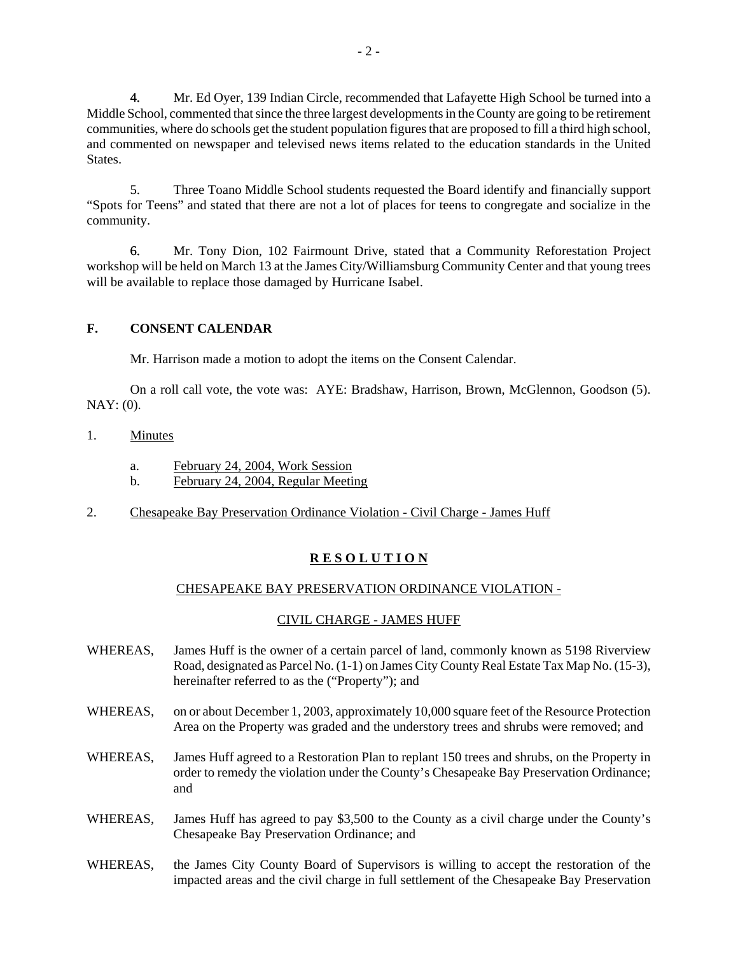4. Mr. Ed Oyer, 139 Indian Circle, recommended that Lafayette High School be turned into a Middle School, commented that since the three largest developments in the County are going to be retirement communities, where do schools get the student population figures that are proposed to fill a third high school, and commented on newspaper and televised news items related to the education standards in the United States.

5. Three Toano Middle School students requested the Board identify and financially support "Spots for Teens" and stated that there are not a lot of places for teens to congregate and socialize in the community.

6. Mr. Tony Dion, 102 Fairmount Drive, stated that a Community Reforestation Project workshop will be held on March 13 at the James City/Williamsburg Community Center and that young trees will be available to replace those damaged by Hurricane Isabel.

# **F. CONSENT CALENDAR**

Mr. Harrison made a motion to adopt the items on the Consent Calendar.

On a roll call vote, the vote was: AYE: Bradshaw, Harrison, Brown, McGlennon, Goodson (5). NAY: (0).

## 1. Minutes

- a. February 24, 2004, Work Session
- b. February 24, 2004, Regular Meeting
- 2. Chesapeake Bay Preservation Ordinance Violation Civil Charge James Huff

# **R E S O L U T I O N**

# CHESAPEAKE BAY PRESERVATION ORDINANCE VIOLATION -

# CIVIL CHARGE - JAMES HUFF

- WHEREAS, James Huff is the owner of a certain parcel of land, commonly known as 5198 Riverview Road, designated as Parcel No. (1-1) on James City County Real Estate Tax Map No. (15-3), hereinafter referred to as the ("Property"); and
- WHEREAS, on or about December 1, 2003, approximately 10,000 square feet of the Resource Protection Area on the Property was graded and the understory trees and shrubs were removed; and
- WHEREAS, James Huff agreed to a Restoration Plan to replant 150 trees and shrubs, on the Property in order to remedy the violation under the County's Chesapeake Bay Preservation Ordinance; and
- WHEREAS, James Huff has agreed to pay \$3,500 to the County as a civil charge under the County's Chesapeake Bay Preservation Ordinance; and
- WHEREAS, the James City County Board of Supervisors is willing to accept the restoration of the impacted areas and the civil charge in full settlement of the Chesapeake Bay Preservation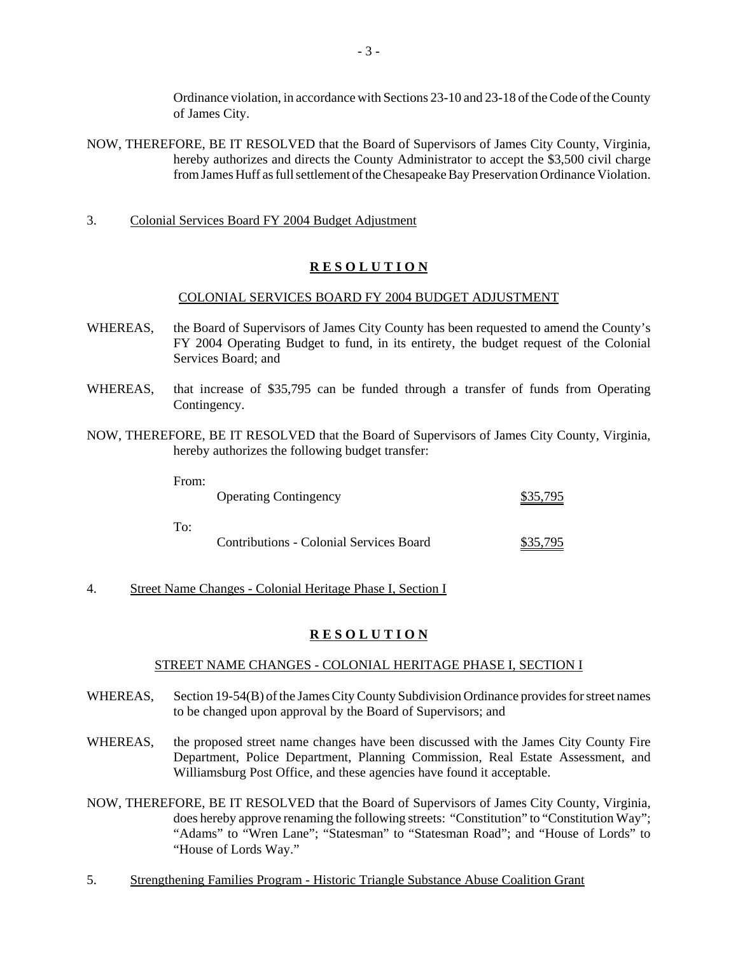Ordinance violation, in accordance with Sections 23-10 and 23-18 of the Code of the County of James City.

- NOW, THEREFORE, BE IT RESOLVED that the Board of Supervisors of James City County, Virginia, hereby authorizes and directs the County Administrator to accept the \$3,500 civil charge from James Huff as full settlement of the Chesapeake Bay Preservation Ordinance Violation.
- 3. Colonial Services Board FY 2004 Budget Adjustment

## **R E S O L U T I O N**

#### COLONIAL SERVICES BOARD FY 2004 BUDGET ADJUSTMENT

- WHEREAS, the Board of Supervisors of James City County has been requested to amend the County's FY 2004 Operating Budget to fund, in its entirety, the budget request of the Colonial Services Board; and
- WHEREAS, that increase of \$35,795 can be funded through a transfer of funds from Operating Contingency.
- NOW, THEREFORE, BE IT RESOLVED that the Board of Supervisors of James City County, Virginia, hereby authorizes the following budget transfer:

| From: |                                         |          |
|-------|-----------------------------------------|----------|
|       | <b>Operating Contingency</b>            | \$35,795 |
|       |                                         |          |
| To:   |                                         |          |
|       | Contributions - Colonial Services Board | \$35,795 |

4. Street Name Changes - Colonial Heritage Phase I, Section I

#### **R E S O L U T I O N**

#### STREET NAME CHANGES - COLONIAL HERITAGE PHASE I, SECTION I

- WHEREAS, Section 19-54(B) of the James City County Subdivision Ordinance provides for street names to be changed upon approval by the Board of Supervisors; and
- WHEREAS, the proposed street name changes have been discussed with the James City County Fire Department, Police Department, Planning Commission, Real Estate Assessment, and Williamsburg Post Office, and these agencies have found it acceptable.
- NOW, THEREFORE, BE IT RESOLVED that the Board of Supervisors of James City County, Virginia, does hereby approve renaming the following streets: "Constitution" to "Constitution Way"; "Adams" to "Wren Lane"; "Statesman" to "Statesman Road"; and "House of Lords" to "House of Lords Way."
- 5. Strengthening Families Program Historic Triangle Substance Abuse Coalition Grant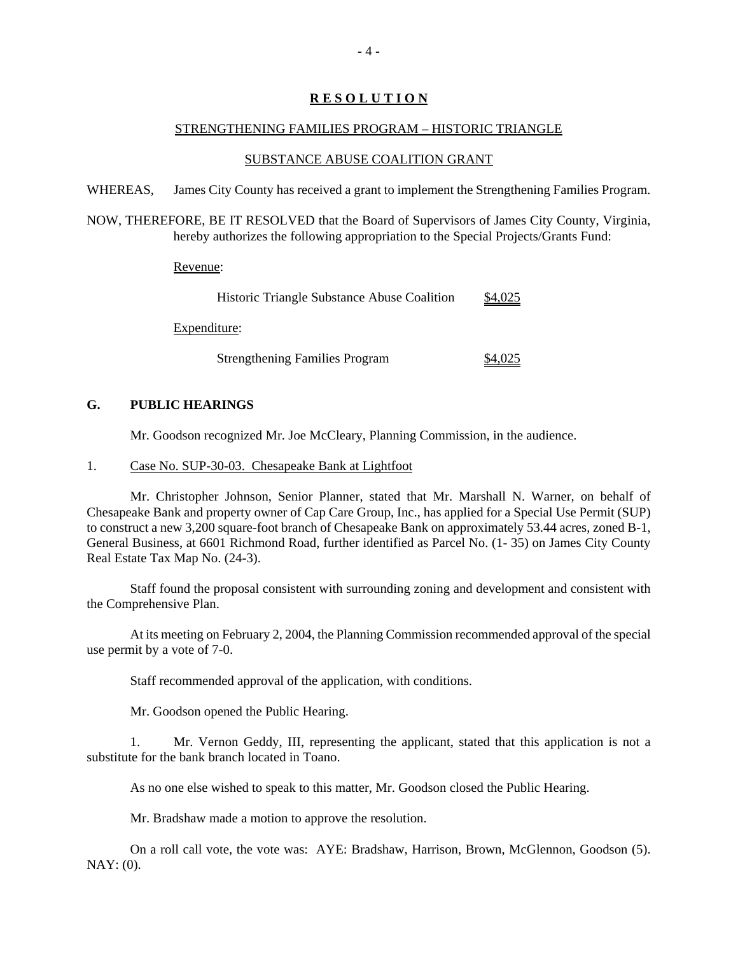# **R E S O L U T I O N**

## STRENGTHENING FAMILIES PROGRAM – HISTORIC TRIANGLE

## SUBSTANCE ABUSE COALITION GRANT

WHEREAS, James City County has received a grant to implement the Strengthening Families Program.

NOW, THEREFORE, BE IT RESOLVED that the Board of Supervisors of James City County, Virginia, hereby authorizes the following appropriation to the Special Projects/Grants Fund:

Revenue:

| <b>Historic Triangle Substance Abuse Coalition</b> | \$4,025 |
|----------------------------------------------------|---------|
| Expenditure:                                       |         |
| <b>Strengthening Families Program</b>              | \$4,025 |

## **G. PUBLIC HEARINGS**

Mr. Goodson recognized Mr. Joe McCleary, Planning Commission, in the audience.

## 1. Case No. SUP-30-03. Chesapeake Bank at Lightfoot

Mr. Christopher Johnson, Senior Planner, stated that Mr. Marshall N. Warner, on behalf of Chesapeake Bank and property owner of Cap Care Group, Inc., has applied for a Special Use Permit (SUP) to construct a new 3,200 square-foot branch of Chesapeake Bank on approximately 53.44 acres, zoned B-1, General Business, at 6601 Richmond Road, further identified as Parcel No. (1- 35) on James City County Real Estate Tax Map No. (24-3).

Staff found the proposal consistent with surrounding zoning and development and consistent with the Comprehensive Plan.

At its meeting on February 2, 2004, the Planning Commission recommended approval of the special use permit by a vote of 7-0.

Staff recommended approval of the application, with conditions.

Mr. Goodson opened the Public Hearing.

1. Mr. Vernon Geddy, III, representing the applicant, stated that this application is not a substitute for the bank branch located in Toano.

As no one else wished to speak to this matter, Mr. Goodson closed the Public Hearing.

Mr. Bradshaw made a motion to approve the resolution.

On a roll call vote, the vote was: AYE: Bradshaw, Harrison, Brown, McGlennon, Goodson (5). NAY: (0).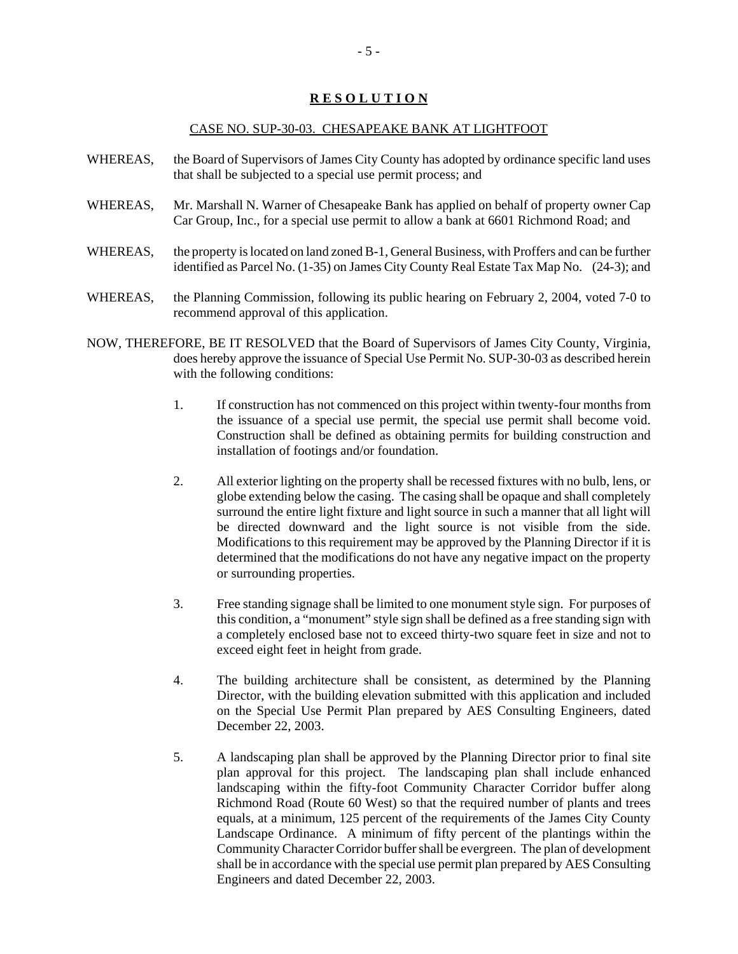## **R E S O L U T I O N**

#### CASE NO. SUP-30-03. CHESAPEAKE BANK AT LIGHTFOOT

- WHEREAS, the Board of Supervisors of James City County has adopted by ordinance specific land uses that shall be subjected to a special use permit process; and
- WHEREAS, Mr. Marshall N. Warner of Chesapeake Bank has applied on behalf of property owner Cap Car Group, Inc., for a special use permit to allow a bank at 6601 Richmond Road; and
- WHEREAS, the property is located on land zoned B-1, General Business, with Proffers and can be further identified as Parcel No. (1-35) on James City County Real Estate Tax Map No. (24-3); and
- WHEREAS, the Planning Commission, following its public hearing on February 2, 2004, voted 7-0 to recommend approval of this application.
- NOW, THEREFORE, BE IT RESOLVED that the Board of Supervisors of James City County, Virginia, does hereby approve the issuance of Special Use Permit No. SUP-30-03 as described herein with the following conditions:
	- 1. If construction has not commenced on this project within twenty-four months from the issuance of a special use permit, the special use permit shall become void. Construction shall be defined as obtaining permits for building construction and installation of footings and/or foundation.
	- 2. All exterior lighting on the property shall be recessed fixtures with no bulb, lens, or globe extending below the casing. The casing shall be opaque and shall completely surround the entire light fixture and light source in such a manner that all light will be directed downward and the light source is not visible from the side. Modifications to this requirement may be approved by the Planning Director if it is determined that the modifications do not have any negative impact on the property or surrounding properties.
	- 3. Free standing signage shall be limited to one monument style sign. For purposes of this condition, a "monument" style sign shall be defined as a free standing sign with a completely enclosed base not to exceed thirty-two square feet in size and not to exceed eight feet in height from grade.
	- 4. The building architecture shall be consistent, as determined by the Planning Director, with the building elevation submitted with this application and included on the Special Use Permit Plan prepared by AES Consulting Engineers, dated December 22, 2003.
	- 5. A landscaping plan shall be approved by the Planning Director prior to final site plan approval for this project. The landscaping plan shall include enhanced landscaping within the fifty-foot Community Character Corridor buffer along Richmond Road (Route 60 West) so that the required number of plants and trees equals, at a minimum, 125 percent of the requirements of the James City County Landscape Ordinance. A minimum of fifty percent of the plantings within the Community Character Corridor buffer shall be evergreen. The plan of development shall be in accordance with the special use permit plan prepared by AES Consulting Engineers and dated December 22, 2003.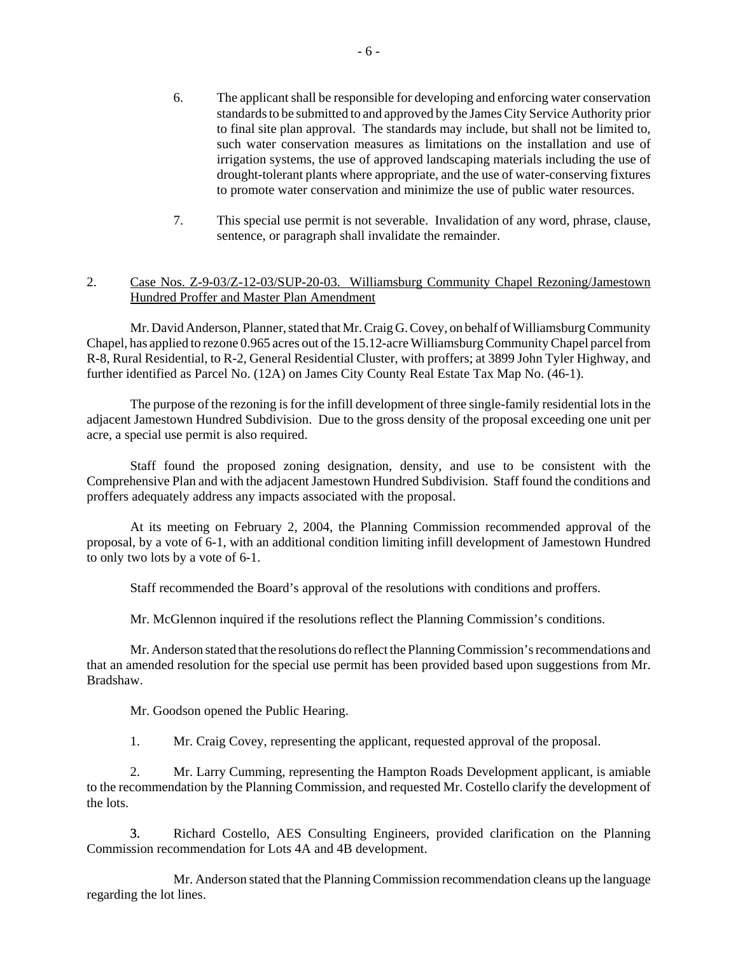- 6. The applicant shall be responsible for developing and enforcing water conservation standards to be submitted to and approved by the James City Service Authority prior to final site plan approval. The standards may include, but shall not be limited to, such water conservation measures as limitations on the installation and use of irrigation systems, the use of approved landscaping materials including the use of drought-tolerant plants where appropriate, and the use of water-conserving fixtures to promote water conservation and minimize the use of public water resources.
- 7. This special use permit is not severable. Invalidation of any word, phrase, clause, sentence, or paragraph shall invalidate the remainder.

# 2. Case Nos. Z-9-03/Z-12-03/SUP-20-03. Williamsburg Community Chapel Rezoning/Jamestown Hundred Proffer and Master Plan Amendment

Mr. David Anderson, Planner, stated that Mr. Craig G. Covey, on behalf of Williamsburg Community Chapel, has applied to rezone 0.965 acres out of the 15.12-acre Williamsburg Community Chapel parcel from R-8, Rural Residential, to R-2, General Residential Cluster, with proffers; at 3899 John Tyler Highway, and further identified as Parcel No. (12A) on James City County Real Estate Tax Map No. (46-1).

The purpose of the rezoning is for the infill development of three single-family residential lots in the adjacent Jamestown Hundred Subdivision. Due to the gross density of the proposal exceeding one unit per acre, a special use permit is also required.

Staff found the proposed zoning designation, density, and use to be consistent with the Comprehensive Plan and with the adjacent Jamestown Hundred Subdivision. Staff found the conditions and proffers adequately address any impacts associated with the proposal.

At its meeting on February 2, 2004, the Planning Commission recommended approval of the proposal, by a vote of 6-1, with an additional condition limiting infill development of Jamestown Hundred to only two lots by a vote of 6-1.

Staff recommended the Board's approval of the resolutions with conditions and proffers.

Mr. McGlennon inquired if the resolutions reflect the Planning Commission's conditions.

Mr. Anderson stated that the resolutions do reflect the Planning Commission's recommendations and that an amended resolution for the special use permit has been provided based upon suggestions from Mr. Bradshaw.

Mr. Goodson opened the Public Hearing.

1. Mr. Craig Covey, representing the applicant, requested approval of the proposal.

2. Mr. Larry Cumming, representing the Hampton Roads Development applicant, is amiable to the recommendation by the Planning Commission, and requested Mr. Costello clarify the development of the lots.

3. Richard Costello, AES Consulting Engineers, provided clarification on the Planning Commission recommendation for Lots 4A and 4B development.

Mr. Anderson stated that the Planning Commission recommendation cleans up the language regarding the lot lines.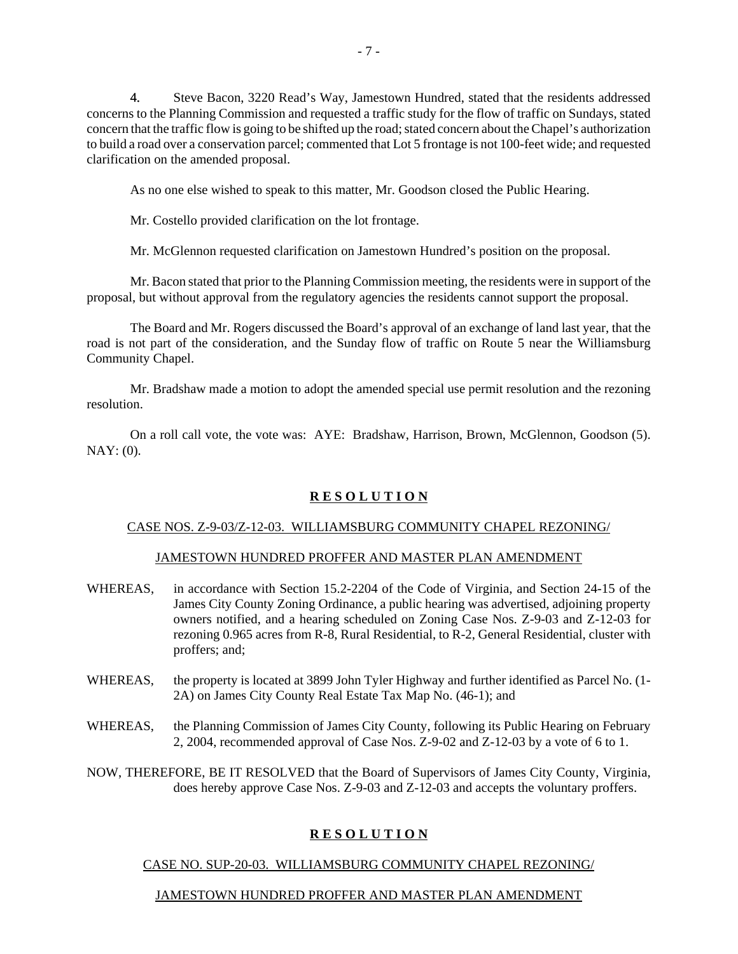4. Steve Bacon, 3220 Read's Way, Jamestown Hundred, stated that the residents addressed concerns to the Planning Commission and requested a traffic study for the flow of traffic on Sundays, stated concern that the traffic flow is going to be shifted up the road; stated concern about the Chapel's authorization to build a road over a conservation parcel; commented that Lot 5 frontage is not 100-feet wide; and requested clarification on the amended proposal.

As no one else wished to speak to this matter, Mr. Goodson closed the Public Hearing.

Mr. Costello provided clarification on the lot frontage.

Mr. McGlennon requested clarification on Jamestown Hundred's position on the proposal.

Mr. Bacon stated that prior to the Planning Commission meeting, the residents were in support of the proposal, but without approval from the regulatory agencies the residents cannot support the proposal.

The Board and Mr. Rogers discussed the Board's approval of an exchange of land last year, that the road is not part of the consideration, and the Sunday flow of traffic on Route 5 near the Williamsburg Community Chapel.

Mr. Bradshaw made a motion to adopt the amended special use permit resolution and the rezoning resolution.

On a roll call vote, the vote was: AYE: Bradshaw, Harrison, Brown, McGlennon, Goodson (5). NAY: (0).

# **R E S O L U T I O N**

# CASE NOS. Z-9-03/Z-12-03. WILLIAMSBURG COMMUNITY CHAPEL REZONING/

#### JAMESTOWN HUNDRED PROFFER AND MASTER PLAN AMENDMENT

- WHEREAS, in accordance with Section 15.2-2204 of the Code of Virginia, and Section 24-15 of the James City County Zoning Ordinance, a public hearing was advertised, adjoining property owners notified, and a hearing scheduled on Zoning Case Nos. Z-9-03 and Z-12-03 for rezoning 0.965 acres from R-8, Rural Residential, to R-2, General Residential, cluster with proffers; and;
- WHEREAS, the property is located at 3899 John Tyler Highway and further identified as Parcel No. (1-2A) on James City County Real Estate Tax Map No. (46-1); and
- WHEREAS, the Planning Commission of James City County, following its Public Hearing on February 2, 2004, recommended approval of Case Nos. Z-9-02 and Z-12-03 by a vote of 6 to 1.

NOW, THEREFORE, BE IT RESOLVED that the Board of Supervisors of James City County, Virginia, does hereby approve Case Nos. Z-9-03 and Z-12-03 and accepts the voluntary proffers.

# **R E S O L U T I O N**

# CASE NO. SUP-20-03. WILLIAMSBURG COMMUNITY CHAPEL REZONING/

# JAMESTOWN HUNDRED PROFFER AND MASTER PLAN AMENDMENT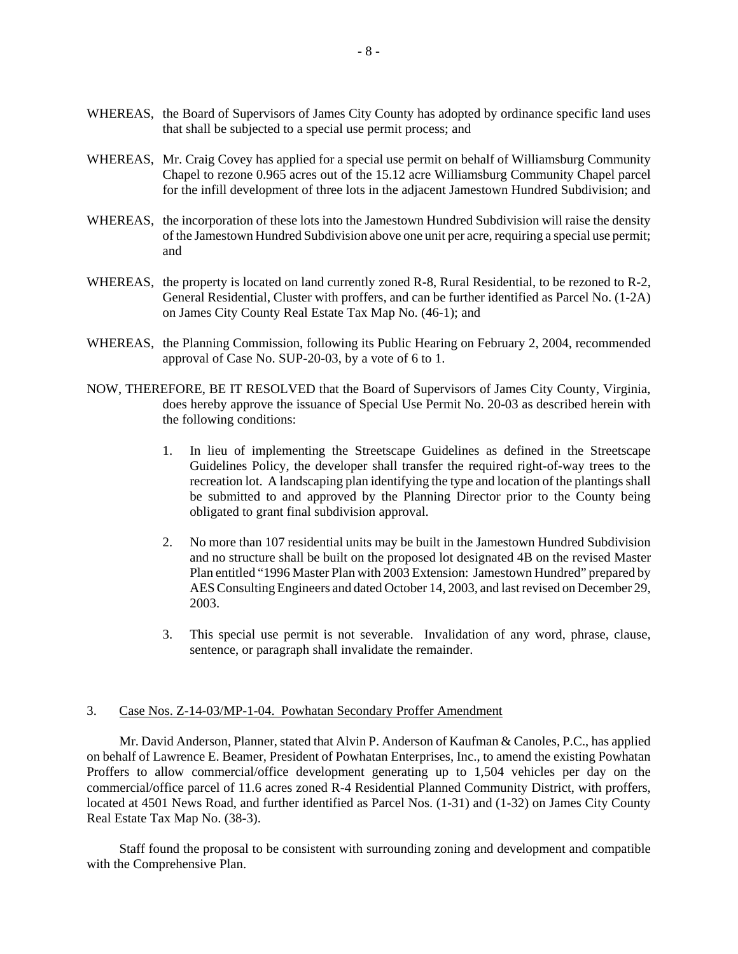- WHEREAS, the Board of Supervisors of James City County has adopted by ordinance specific land uses that shall be subjected to a special use permit process; and
- WHEREAS, Mr. Craig Covey has applied for a special use permit on behalf of Williamsburg Community Chapel to rezone 0.965 acres out of the 15.12 acre Williamsburg Community Chapel parcel for the infill development of three lots in the adjacent Jamestown Hundred Subdivision; and
- WHEREAS, the incorporation of these lots into the Jamestown Hundred Subdivision will raise the density of the Jamestown Hundred Subdivision above one unit per acre, requiring a special use permit; and
- WHEREAS, the property is located on land currently zoned R-8, Rural Residential, to be rezoned to R-2, General Residential, Cluster with proffers, and can be further identified as Parcel No. (1-2A) on James City County Real Estate Tax Map No. (46-1); and
- WHEREAS, the Planning Commission, following its Public Hearing on February 2, 2004, recommended approval of Case No. SUP-20-03, by a vote of 6 to 1.
- NOW, THEREFORE, BE IT RESOLVED that the Board of Supervisors of James City County, Virginia, does hereby approve the issuance of Special Use Permit No. 20-03 as described herein with the following conditions:
	- 1. In lieu of implementing the Streetscape Guidelines as defined in the Streetscape Guidelines Policy, the developer shall transfer the required right-of-way trees to the recreation lot. A landscaping plan identifying the type and location of the plantings shall be submitted to and approved by the Planning Director prior to the County being obligated to grant final subdivision approval.
	- 2. No more than 107 residential units may be built in the Jamestown Hundred Subdivision and no structure shall be built on the proposed lot designated 4B on the revised Master Plan entitled "1996 Master Plan with 2003 Extension: Jamestown Hundred" prepared by AES Consulting Engineers and dated October 14, 2003, and last revised on December 29, 2003.
	- 3. This special use permit is not severable. Invalidation of any word, phrase, clause, sentence, or paragraph shall invalidate the remainder.

## 3. Case Nos. Z-14-03/MP-1-04. Powhatan Secondary Proffer Amendment

Mr. David Anderson, Planner, stated that Alvin P. Anderson of Kaufman & Canoles, P.C., has applied on behalf of Lawrence E. Beamer, President of Powhatan Enterprises, Inc., to amend the existing Powhatan Proffers to allow commercial/office development generating up to 1,504 vehicles per day on the commercial/office parcel of 11.6 acres zoned R-4 Residential Planned Community District, with proffers, located at 4501 News Road, and further identified as Parcel Nos. (1-31) and (1-32) on James City County Real Estate Tax Map No. (38-3).

Staff found the proposal to be consistent with surrounding zoning and development and compatible with the Comprehensive Plan.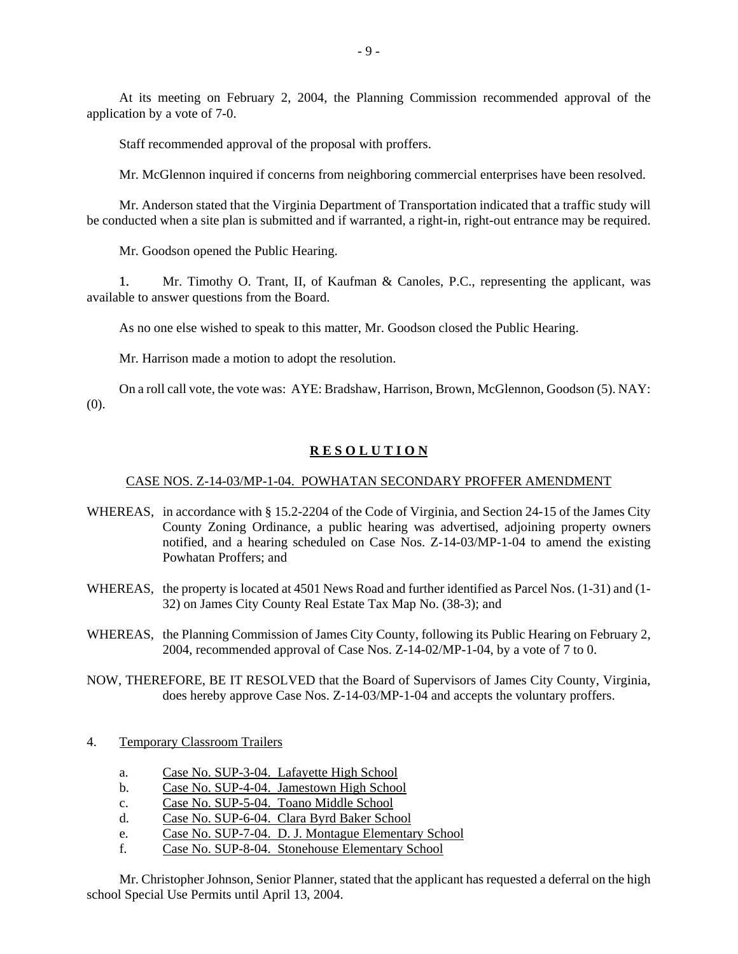At its meeting on February 2, 2004, the Planning Commission recommended approval of the application by a vote of 7-0.

Staff recommended approval of the proposal with proffers.

Mr. McGlennon inquired if concerns from neighboring commercial enterprises have been resolved.

Mr. Anderson stated that the Virginia Department of Transportation indicated that a traffic study will be conducted when a site plan is submitted and if warranted, a right-in, right-out entrance may be required.

Mr. Goodson opened the Public Hearing.

1. Mr. Timothy O. Trant, II, of Kaufman & Canoles, P.C., representing the applicant, was available to answer questions from the Board.

As no one else wished to speak to this matter, Mr. Goodson closed the Public Hearing.

Mr. Harrison made a motion to adopt the resolution.

On a roll call vote, the vote was: AYE: Bradshaw, Harrison, Brown, McGlennon, Goodson (5). NAY: (0).

#### **R E S O L U T I O N**

#### CASE NOS. Z-14-03/MP-1-04. POWHATAN SECONDARY PROFFER AMENDMENT

- WHEREAS, in accordance with § 15.2-2204 of the Code of Virginia, and Section 24-15 of the James City County Zoning Ordinance, a public hearing was advertised, adjoining property owners notified, and a hearing scheduled on Case Nos. Z-14-03/MP-1-04 to amend the existing Powhatan Proffers; and
- WHEREAS, the property is located at 4501 News Road and further identified as Parcel Nos. (1-31) and (1- 32) on James City County Real Estate Tax Map No. (38-3); and
- WHEREAS, the Planning Commission of James City County, following its Public Hearing on February 2, 2004, recommended approval of Case Nos. Z-14-02/MP-1-04, by a vote of 7 to 0.

NOW, THEREFORE, BE IT RESOLVED that the Board of Supervisors of James City County, Virginia, does hereby approve Case Nos. Z-14-03/MP-1-04 and accepts the voluntary proffers.

## 4. Temporary Classroom Trailers

- a. Case No. SUP-3-04. Lafayette High School
- b. Case No. SUP-4-04. Jamestown High School
- c. Case No. SUP-5-04. Toano Middle School
- d. Case No. SUP-6-04. Clara Byrd Baker School
- e. Case No. SUP-7-04. D. J. Montague Elementary School
- f. Case No. SUP-8-04. Stonehouse Elementary School

Mr. Christopher Johnson, Senior Planner, stated that the applicant has requested a deferral on the high school Special Use Permits until April 13, 2004.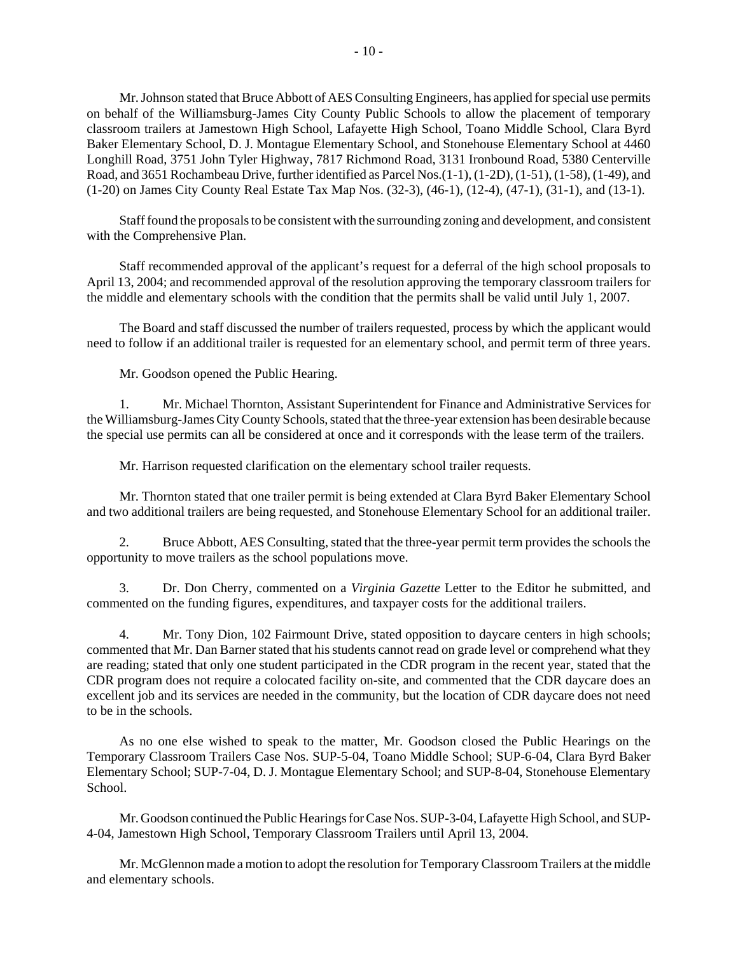Mr. Johnson stated that Bruce Abbott of AES Consulting Engineers, has applied for special use permits on behalf of the Williamsburg-James City County Public Schools to allow the placement of temporary classroom trailers at Jamestown High School, Lafayette High School, Toano Middle School, Clara Byrd Baker Elementary School, D. J. Montague Elementary School, and Stonehouse Elementary School at 4460 Longhill Road, 3751 John Tyler Highway, 7817 Richmond Road, 3131 Ironbound Road, 5380 Centerville Road, and 3651 Rochambeau Drive, further identified as Parcel Nos.(1-1), (1-2D), (1-51), (1-58), (1-49), and (1-20) on James City County Real Estate Tax Map Nos. (32-3), (46-1), (12-4), (47-1), (31-1), and (13-1).

Staff found the proposals to be consistent with the surrounding zoning and development, and consistent with the Comprehensive Plan.

Staff recommended approval of the applicant's request for a deferral of the high school proposals to April 13, 2004; and recommended approval of the resolution approving the temporary classroom trailers for the middle and elementary schools with the condition that the permits shall be valid until July 1, 2007.

The Board and staff discussed the number of trailers requested, process by which the applicant would need to follow if an additional trailer is requested for an elementary school, and permit term of three years.

Mr. Goodson opened the Public Hearing.

1. Mr. Michael Thornton, Assistant Superintendent for Finance and Administrative Services for the Williamsburg-James City County Schools, stated that the three-year extension has been desirable because the special use permits can all be considered at once and it corresponds with the lease term of the trailers.

Mr. Harrison requested clarification on the elementary school trailer requests.

Mr. Thornton stated that one trailer permit is being extended at Clara Byrd Baker Elementary School and two additional trailers are being requested, and Stonehouse Elementary School for an additional trailer.

2. Bruce Abbott, AES Consulting, stated that the three-year permit term provides the schools the opportunity to move trailers as the school populations move.

3. Dr. Don Cherry, commented on a *Virginia Gazette* Letter to the Editor he submitted, and commented on the funding figures, expenditures, and taxpayer costs for the additional trailers.

4. Mr. Tony Dion, 102 Fairmount Drive, stated opposition to daycare centers in high schools; commented that Mr. Dan Barner stated that his students cannot read on grade level or comprehend what they are reading; stated that only one student participated in the CDR program in the recent year, stated that the CDR program does not require a colocated facility on-site, and commented that the CDR daycare does an excellent job and its services are needed in the community, but the location of CDR daycare does not need to be in the schools.

As no one else wished to speak to the matter, Mr. Goodson closed the Public Hearings on the Temporary Classroom Trailers Case Nos. SUP-5-04, Toano Middle School; SUP-6-04, Clara Byrd Baker Elementary School; SUP-7-04, D. J. Montague Elementary School; and SUP-8-04, Stonehouse Elementary School.

Mr. Goodson continued the Public Hearings for Case Nos. SUP-3-04, Lafayette High School, and SUP-4-04, Jamestown High School, Temporary Classroom Trailers until April 13, 2004.

Mr. McGlennon made a motion to adopt the resolution for Temporary Classroom Trailers at the middle and elementary schools.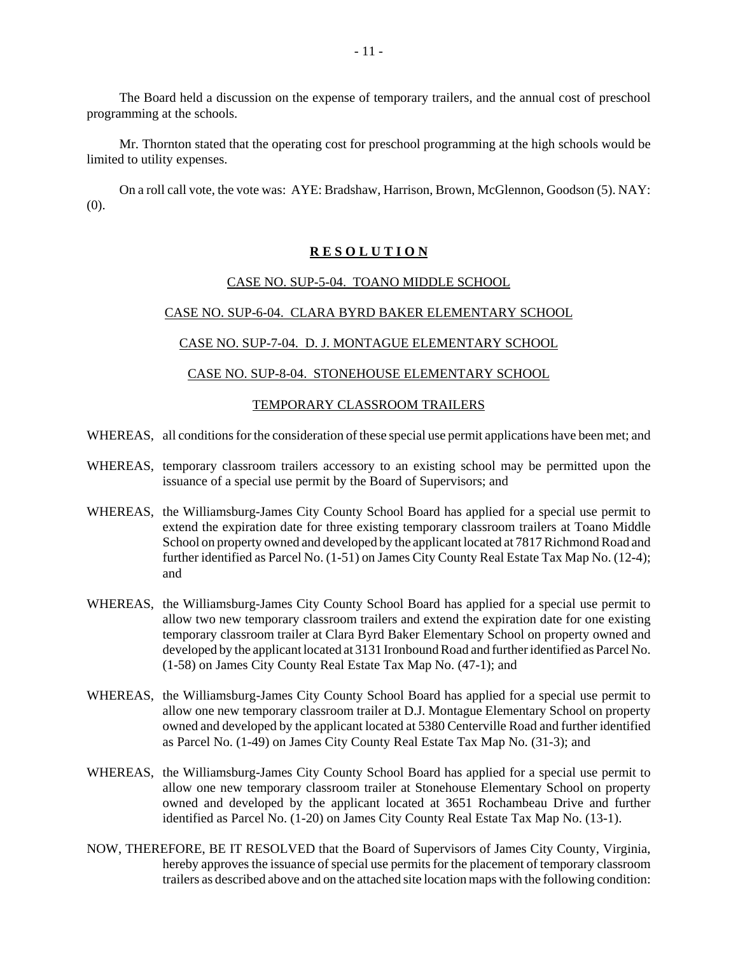The Board held a discussion on the expense of temporary trailers, and the annual cost of preschool programming at the schools.

Mr. Thornton stated that the operating cost for preschool programming at the high schools would be limited to utility expenses.

On a roll call vote, the vote was: AYE: Bradshaw, Harrison, Brown, McGlennon, Goodson (5). NAY: (0).

#### **R E S O L U T I O N**

#### CASE NO. SUP-5-04. TOANO MIDDLE SCHOOL

## CASE NO. SUP-6-04. CLARA BYRD BAKER ELEMENTARY SCHOOL

#### CASE NO. SUP-7-04. D. J. MONTAGUE ELEMENTARY SCHOOL

#### CASE NO. SUP-8-04. STONEHOUSE ELEMENTARY SCHOOL

## TEMPORARY CLASSROOM TRAILERS

- WHEREAS, all conditions for the consideration of these special use permit applications have been met; and
- WHEREAS, temporary classroom trailers accessory to an existing school may be permitted upon the issuance of a special use permit by the Board of Supervisors; and
- WHEREAS, the Williamsburg-James City County School Board has applied for a special use permit to extend the expiration date for three existing temporary classroom trailers at Toano Middle School on property owned and developed by the applicant located at 7817 Richmond Road and further identified as Parcel No. (1-51) on James City County Real Estate Tax Map No. (12-4); and
- WHEREAS, the Williamsburg-James City County School Board has applied for a special use permit to allow two new temporary classroom trailers and extend the expiration date for one existing temporary classroom trailer at Clara Byrd Baker Elementary School on property owned and developed by the applicant located at 3131 Ironbound Road and further identified as Parcel No. (1-58) on James City County Real Estate Tax Map No. (47-1); and
- WHEREAS, the Williamsburg-James City County School Board has applied for a special use permit to allow one new temporary classroom trailer at D.J. Montague Elementary School on property owned and developed by the applicant located at 5380 Centerville Road and further identified as Parcel No. (1-49) on James City County Real Estate Tax Map No. (31-3); and
- WHEREAS, the Williamsburg-James City County School Board has applied for a special use permit to allow one new temporary classroom trailer at Stonehouse Elementary School on property owned and developed by the applicant located at 3651 Rochambeau Drive and further identified as Parcel No. (1-20) on James City County Real Estate Tax Map No. (13-1).
- NOW, THEREFORE, BE IT RESOLVED that the Board of Supervisors of James City County, Virginia, hereby approves the issuance of special use permits for the placement of temporary classroom trailers as described above and on the attached site location maps with the following condition: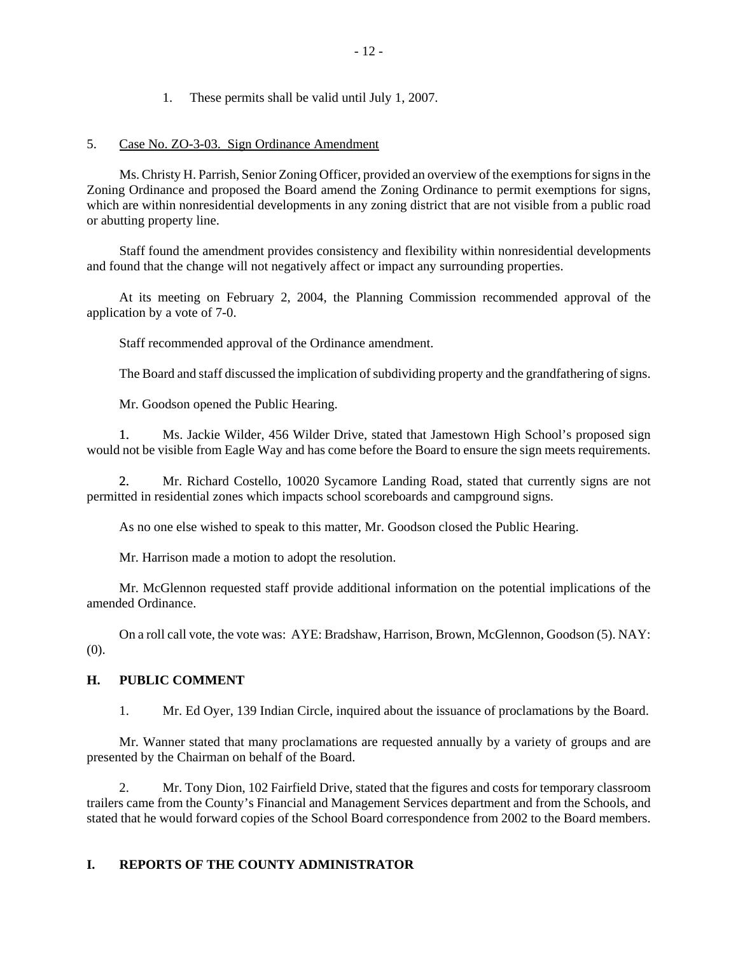1. These permits shall be valid until July 1, 2007.

# 5. Case No. ZO-3-03. Sign Ordinance Amendment

Ms. Christy H. Parrish, Senior Zoning Officer, provided an overview of the exemptions for signs in the Zoning Ordinance and proposed the Board amend the Zoning Ordinance to permit exemptions for signs, which are within nonresidential developments in any zoning district that are not visible from a public road or abutting property line.

Staff found the amendment provides consistency and flexibility within nonresidential developments and found that the change will not negatively affect or impact any surrounding properties.

At its meeting on February 2, 2004, the Planning Commission recommended approval of the application by a vote of 7-0.

Staff recommended approval of the Ordinance amendment.

The Board and staff discussed the implication of subdividing property and the grandfathering of signs.

Mr. Goodson opened the Public Hearing.

1. Ms. Jackie Wilder, 456 Wilder Drive, stated that Jamestown High School's proposed sign would not be visible from Eagle Way and has come before the Board to ensure the sign meets requirements.

2. Mr. Richard Costello, 10020 Sycamore Landing Road, stated that currently signs are not permitted in residential zones which impacts school scoreboards and campground signs.

As no one else wished to speak to this matter, Mr. Goodson closed the Public Hearing.

Mr. Harrison made a motion to adopt the resolution.

Mr. McGlennon requested staff provide additional information on the potential implications of the amended Ordinance.

On a roll call vote, the vote was: AYE: Bradshaw, Harrison, Brown, McGlennon, Goodson (5). NAY: (0).

# **H. PUBLIC COMMENT**

1. Mr. Ed Oyer, 139 Indian Circle, inquired about the issuance of proclamations by the Board.

Mr. Wanner stated that many proclamations are requested annually by a variety of groups and are presented by the Chairman on behalf of the Board.

2. Mr. Tony Dion, 102 Fairfield Drive, stated that the figures and costs for temporary classroom trailers came from the County's Financial and Management Services department and from the Schools, and stated that he would forward copies of the School Board correspondence from 2002 to the Board members.

# **I. REPORTS OF THE COUNTY ADMINISTRATOR**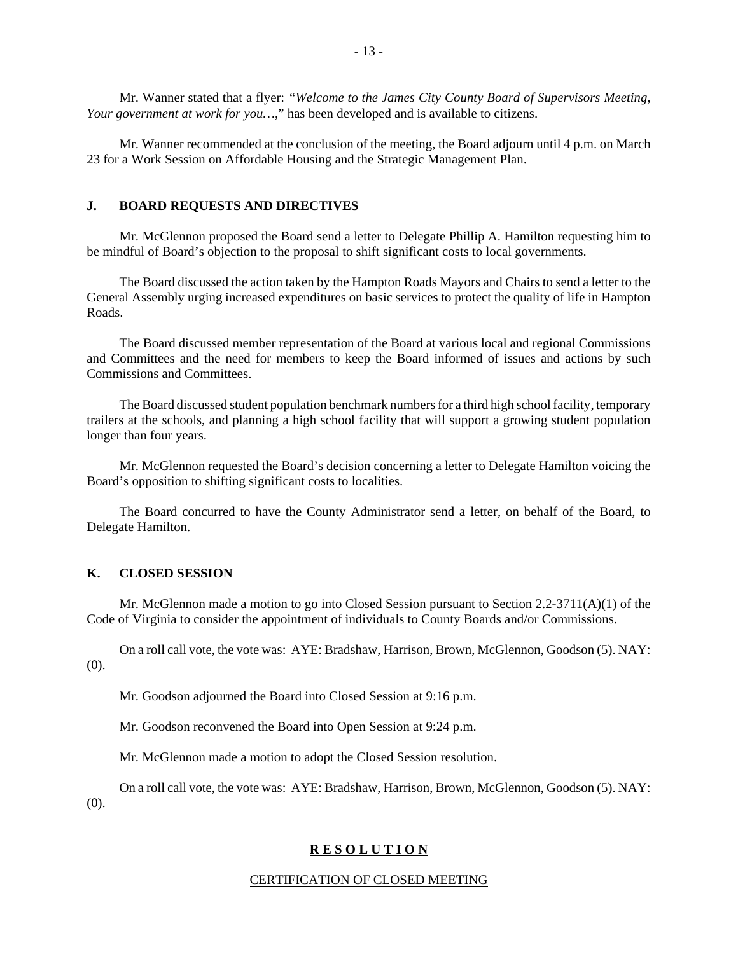Mr. Wanner stated that a flyer: *"Welcome to the James City County Board of Supervisors Meeting, Your government at work for you…*," has been developed and is available to citizens.

Mr. Wanner recommended at the conclusion of the meeting, the Board adjourn until 4 p.m. on March 23 for a Work Session on Affordable Housing and the Strategic Management Plan.

## **J. BOARD REQUESTS AND DIRECTIVES**

Mr. McGlennon proposed the Board send a letter to Delegate Phillip A. Hamilton requesting him to be mindful of Board's objection to the proposal to shift significant costs to local governments.

The Board discussed the action taken by the Hampton Roads Mayors and Chairs to send a letter to the General Assembly urging increased expenditures on basic services to protect the quality of life in Hampton Roads.

The Board discussed member representation of the Board at various local and regional Commissions and Committees and the need for members to keep the Board informed of issues and actions by such Commissions and Committees.

The Board discussed student population benchmark numbers for a third high school facility, temporary trailers at the schools, and planning a high school facility that will support a growing student population longer than four years.

Mr. McGlennon requested the Board's decision concerning a letter to Delegate Hamilton voicing the Board's opposition to shifting significant costs to localities.

The Board concurred to have the County Administrator send a letter, on behalf of the Board, to Delegate Hamilton.

#### **K. CLOSED SESSION**

Mr. McGlennon made a motion to go into Closed Session pursuant to Section 2.2-3711(A)(1) of the Code of Virginia to consider the appointment of individuals to County Boards and/or Commissions.

On a roll call vote, the vote was: AYE: Bradshaw, Harrison, Brown, McGlennon, Goodson (5). NAY: (0).

Mr. Goodson adjourned the Board into Closed Session at 9:16 p.m.

Mr. Goodson reconvened the Board into Open Session at 9:24 p.m.

Mr. McGlennon made a motion to adopt the Closed Session resolution.

On a roll call vote, the vote was: AYE: Bradshaw, Harrison, Brown, McGlennon, Goodson (5). NAY:

(0).

#### **R E S O L U T I O N**

#### CERTIFICATION OF CLOSED MEETING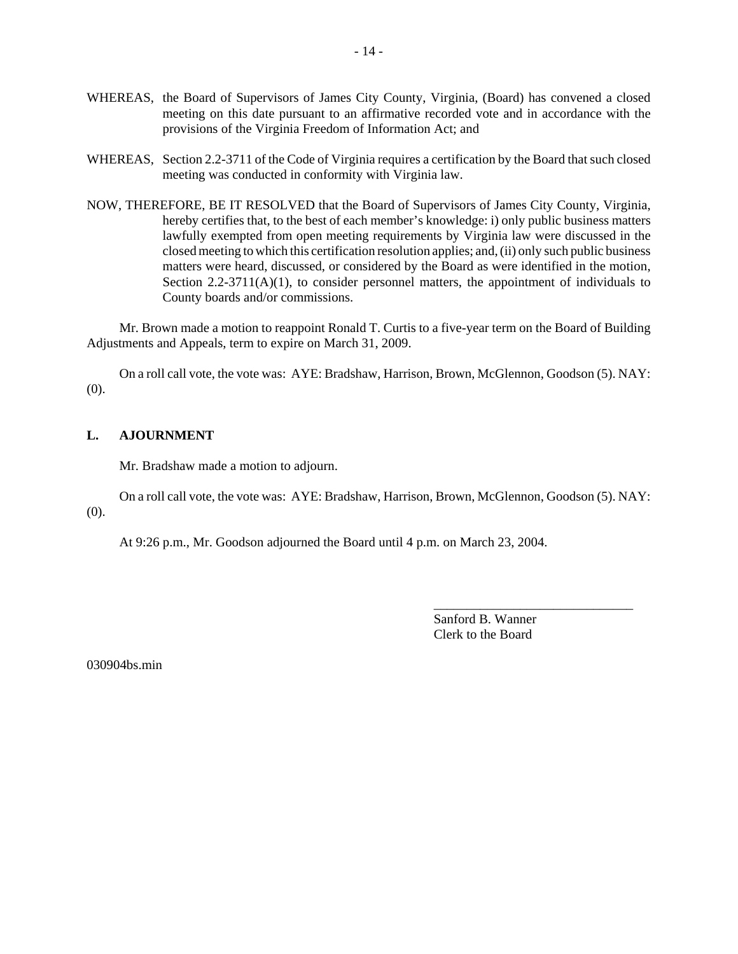- WHEREAS, the Board of Supervisors of James City County, Virginia, (Board) has convened a closed meeting on this date pursuant to an affirmative recorded vote and in accordance with the provisions of the Virginia Freedom of Information Act; and
- WHEREAS, Section 2.2-3711 of the Code of Virginia requires a certification by the Board that such closed meeting was conducted in conformity with Virginia law.
- NOW, THEREFORE, BE IT RESOLVED that the Board of Supervisors of James City County, Virginia, hereby certifies that, to the best of each member's knowledge: i) only public business matters lawfully exempted from open meeting requirements by Virginia law were discussed in the closed meeting to which this certification resolution applies; and, (ii) only such public business matters were heard, discussed, or considered by the Board as were identified in the motion, Section  $2.2-3711(A)(1)$ , to consider personnel matters, the appointment of individuals to County boards and/or commissions.

Mr. Brown made a motion to reappoint Ronald T. Curtis to a five-year term on the Board of Building Adjustments and Appeals, term to expire on March 31, 2009.

On a roll call vote, the vote was: AYE: Bradshaw, Harrison, Brown, McGlennon, Goodson (5). NAY: (0).

## **L. AJOURNMENT**

Mr. Bradshaw made a motion to adjourn.

On a roll call vote, the vote was: AYE: Bradshaw, Harrison, Brown, McGlennon, Goodson (5). NAY: (0).

At 9:26 p.m., Mr. Goodson adjourned the Board until 4 p.m. on March 23, 2004.

Sanford B. Wanner Clerk to the Board

\_\_\_\_\_\_\_\_\_\_\_\_\_\_\_\_\_\_\_\_\_\_\_\_\_\_\_\_\_\_

030904bs.min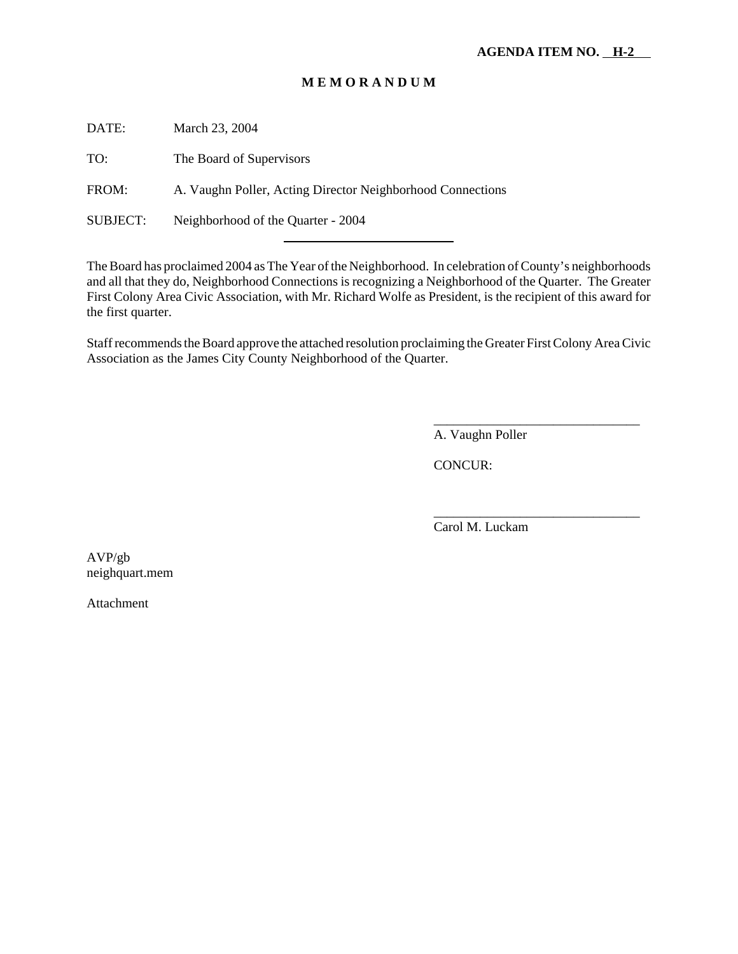# **M E M O R A N D U M**

DATE: March 23, 2004

TO: The Board of Supervisors

FROM: A. Vaughn Poller, Acting Director Neighborhood Connections

l

SUBJECT: Neighborhood of the Quarter - 2004

The Board has proclaimed 2004 as The Year of the Neighborhood. In celebration of County's neighborhoods and all that they do, Neighborhood Connections is recognizing a Neighborhood of the Quarter. The Greater First Colony Area Civic Association, with Mr. Richard Wolfe as President, is the recipient of this award for the first quarter.

Staff recommends the Board approve the attached resolution proclaiming the Greater First Colony Area Civic Association as the James City County Neighborhood of the Quarter.

A. Vaughn Poller

\_\_\_\_\_\_\_\_\_\_\_\_\_\_\_\_\_\_\_\_\_\_\_\_\_\_\_\_\_\_\_

\_\_\_\_\_\_\_\_\_\_\_\_\_\_\_\_\_\_\_\_\_\_\_\_\_\_\_\_\_\_\_

CONCUR:

Carol M. Luckam

AVP/gb neighquart.mem

Attachment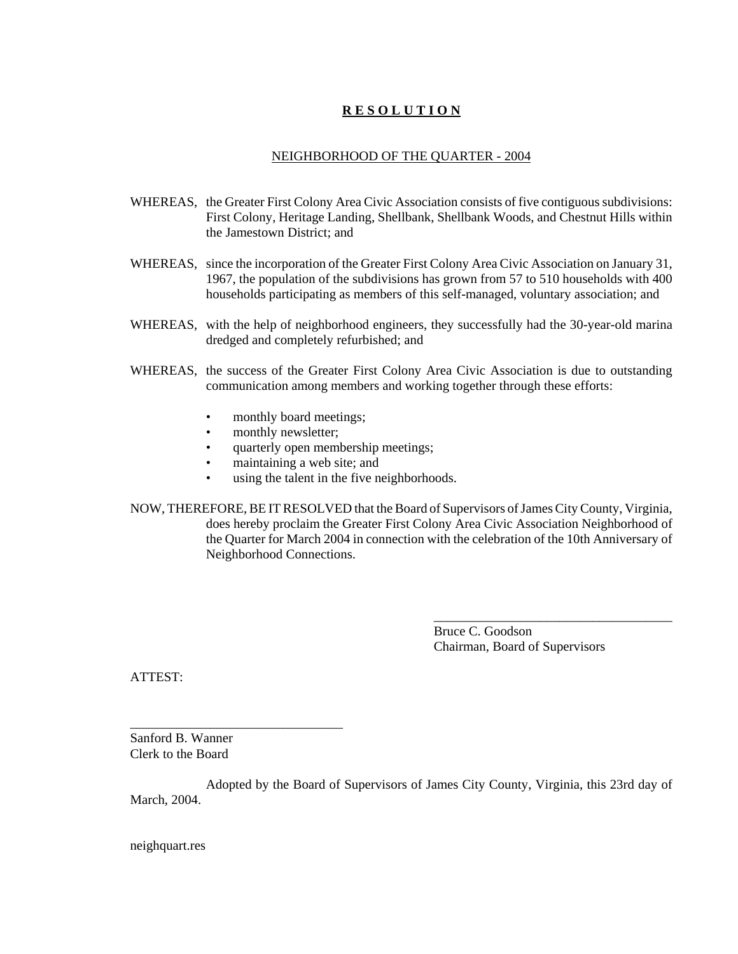# **R E S O L U T I O N**

# NEIGHBORHOOD OF THE QUARTER - 2004

- WHEREAS, the Greater First Colony Area Civic Association consists of five contiguous subdivisions: First Colony, Heritage Landing, Shellbank, Shellbank Woods, and Chestnut Hills within the Jamestown District; and
- WHEREAS, since the incorporation of the Greater First Colony Area Civic Association on January 31, 1967, the population of the subdivisions has grown from 57 to 510 households with 400 households participating as members of this self-managed, voluntary association; and
- WHEREAS, with the help of neighborhood engineers, they successfully had the 30-year-old marina dredged and completely refurbished; and
- WHEREAS, the success of the Greater First Colony Area Civic Association is due to outstanding communication among members and working together through these efforts:
	- monthly board meetings;
	- monthly newsletter;
	- quarterly open membership meetings;
	- maintaining a web site; and
	- using the talent in the five neighborhoods.
- NOW, THEREFORE, BE IT RESOLVED that the Board of Supervisors of James City County, Virginia, does hereby proclaim the Greater First Colony Area Civic Association Neighborhood of the Quarter for March 2004 in connection with the celebration of the 10th Anniversary of Neighborhood Connections.

Bruce C. Goodson Chairman, Board of Supervisors

\_\_\_\_\_\_\_\_\_\_\_\_\_\_\_\_\_\_\_\_\_\_\_\_\_\_\_\_\_\_\_\_\_\_\_\_

ATTEST:

Sanford B. Wanner Clerk to the Board

\_\_\_\_\_\_\_\_\_\_\_\_\_\_\_\_\_\_\_\_\_\_\_\_\_\_\_\_\_\_\_\_

Adopted by the Board of Supervisors of James City County, Virginia, this 23rd day of March, 2004.

neighquart.res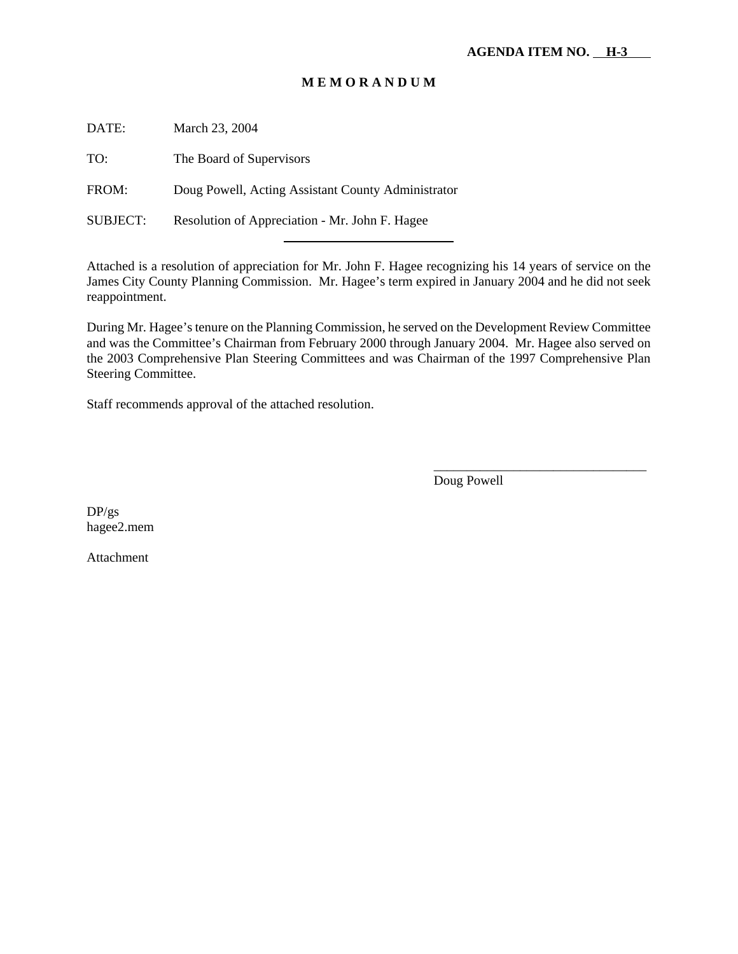# **M E M O R A N D U M**

DATE: March 23, 2004

TO: The Board of Supervisors

FROM: Doug Powell, Acting Assistant County Administrator

l

SUBJECT: Resolution of Appreciation - Mr. John F. Hagee

Attached is a resolution of appreciation for Mr. John F. Hagee recognizing his 14 years of service on the James City County Planning Commission. Mr. Hagee's term expired in January 2004 and he did not seek reappointment.

During Mr. Hagee's tenure on the Planning Commission, he served on the Development Review Committee and was the Committee's Chairman from February 2000 through January 2004. Mr. Hagee also served on the 2003 Comprehensive Plan Steering Committees and was Chairman of the 1997 Comprehensive Plan Steering Committee.

Staff recommends approval of the attached resolution.

\_\_\_\_\_\_\_\_\_\_\_\_\_\_\_\_\_\_\_\_\_\_\_\_\_\_\_\_\_\_\_\_ Doug Powell

DP/gs hagee2.mem

Attachment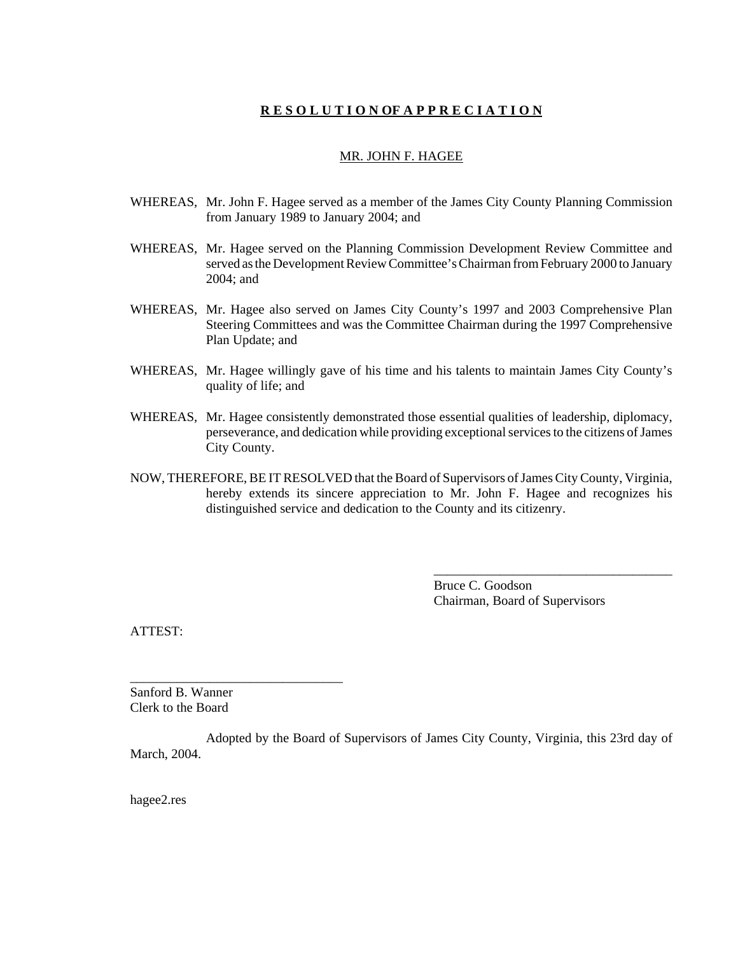# **R E S O L U T I O N OF A P P R E C I A T I O N**

#### MR. JOHN F. HAGEE

- WHEREAS, Mr. John F. Hagee served as a member of the James City County Planning Commission from January 1989 to January 2004; and
- WHEREAS, Mr. Hagee served on the Planning Commission Development Review Committee and served as the Development Review Committee's Chairman from February 2000 to January 2004; and
- WHEREAS, Mr. Hagee also served on James City County's 1997 and 2003 Comprehensive Plan Steering Committees and was the Committee Chairman during the 1997 Comprehensive Plan Update; and
- WHEREAS, Mr. Hagee willingly gave of his time and his talents to maintain James City County's quality of life; and
- WHEREAS, Mr. Hagee consistently demonstrated those essential qualities of leadership, diplomacy, perseverance, and dedication while providing exceptional services to the citizens of James City County.
- NOW, THEREFORE, BE IT RESOLVED that the Board of Supervisors of James City County, Virginia, hereby extends its sincere appreciation to Mr. John F. Hagee and recognizes his distinguished service and dedication to the County and its citizenry.

Bruce C. Goodson Chairman, Board of Supervisors

\_\_\_\_\_\_\_\_\_\_\_\_\_\_\_\_\_\_\_\_\_\_\_\_\_\_\_\_\_\_\_\_\_\_\_\_

ATTEST:

Sanford B. Wanner Clerk to the Board

\_\_\_\_\_\_\_\_\_\_\_\_\_\_\_\_\_\_\_\_\_\_\_\_\_\_\_\_\_\_\_\_

Adopted by the Board of Supervisors of James City County, Virginia, this 23rd day of March, 2004.

hagee2.res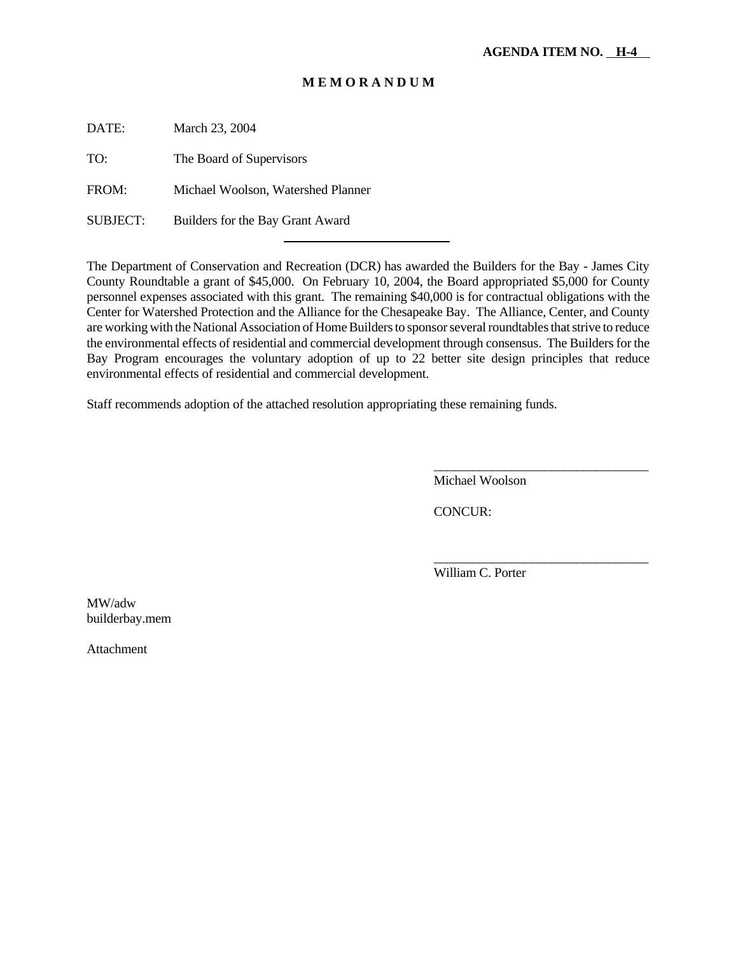# **M E M O R A N D U M**

DATE: March 23, 2004

TO: The Board of Supervisors

FROM: Michael Woolson, Watershed Planner

l

SUBJECT: Builders for the Bay Grant Award

The Department of Conservation and Recreation (DCR) has awarded the Builders for the Bay - James City County Roundtable a grant of \$45,000. On February 10, 2004, the Board appropriated \$5,000 for County personnel expenses associated with this grant. The remaining \$40,000 is for contractual obligations with the Center for Watershed Protection and the Alliance for the Chesapeake Bay. The Alliance, Center, and County are working with the National Association of Home Builders to sponsor several roundtables that strive to reduce the environmental effects of residential and commercial development through consensus. The Builders for the Bay Program encourages the voluntary adoption of up to 22 better site design principles that reduce environmental effects of residential and commercial development.

Staff recommends adoption of the attached resolution appropriating these remaining funds.

Michael Woolson

\_\_\_\_\_\_\_\_\_\_\_\_\_\_\_\_\_\_\_\_\_\_\_\_\_\_\_\_\_\_\_\_\_

\_\_\_\_\_\_\_\_\_\_\_\_\_\_\_\_\_\_\_\_\_\_\_\_\_\_\_\_\_\_\_\_\_

CONCUR:

William C. Porter

MW/adw builderbay.mem

Attachment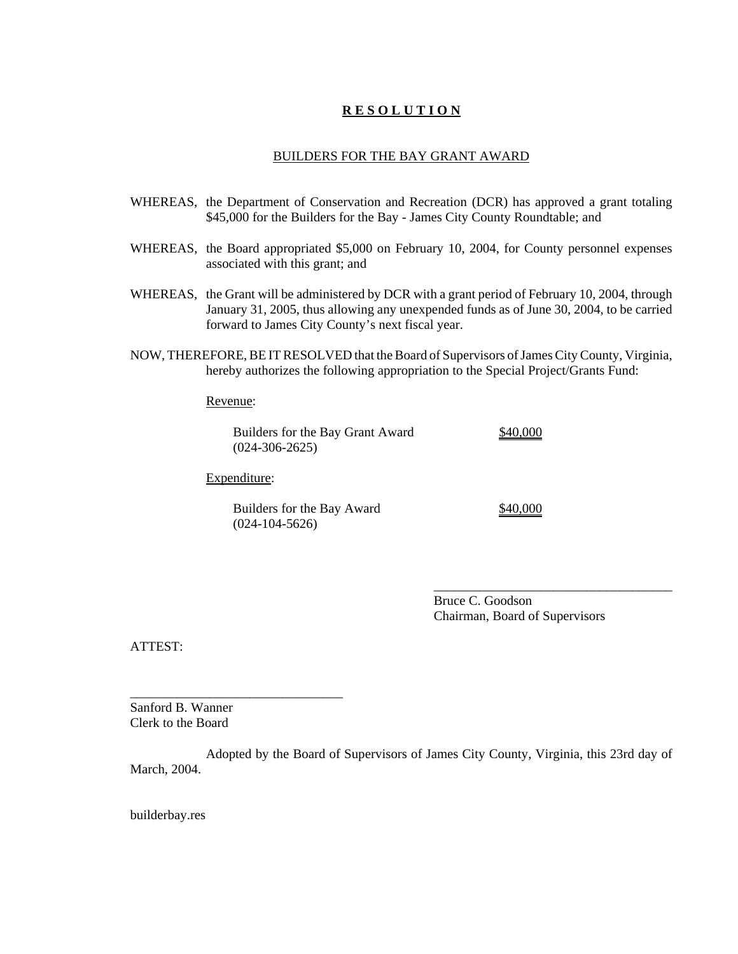# **R E S O L U T I O N**

#### BUILDERS FOR THE BAY GRANT AWARD

- WHEREAS, the Department of Conservation and Recreation (DCR) has approved a grant totaling \$45,000 for the Builders for the Bay - James City County Roundtable; and
- WHEREAS, the Board appropriated \$5,000 on February 10, 2004, for County personnel expenses associated with this grant; and
- WHEREAS, the Grant will be administered by DCR with a grant period of February 10, 2004, through January 31, 2005, thus allowing any unexpended funds as of June 30, 2004, to be carried forward to James City County's next fiscal year.
- NOW, THEREFORE, BE IT RESOLVED that the Board of Supervisors of James City County, Virginia, hereby authorizes the following appropriation to the Special Project/Grants Fund:

Revenue:

Builders for the Bay Grant Award \$40,000 (024-306-2625)

Expenditure:

\_\_\_\_\_\_\_\_\_\_\_\_\_\_\_\_\_\_\_\_\_\_\_\_\_\_\_\_\_\_\_\_

Builders for the Bay Award \$40,000 (024-104-5626)

Bruce C. Goodson Chairman, Board of Supervisors

\_\_\_\_\_\_\_\_\_\_\_\_\_\_\_\_\_\_\_\_\_\_\_\_\_\_\_\_\_\_\_\_\_\_\_\_

ATTEST:

Sanford B. Wanner Clerk to the Board

Adopted by the Board of Supervisors of James City County, Virginia, this 23rd day of March, 2004.

builderbay.res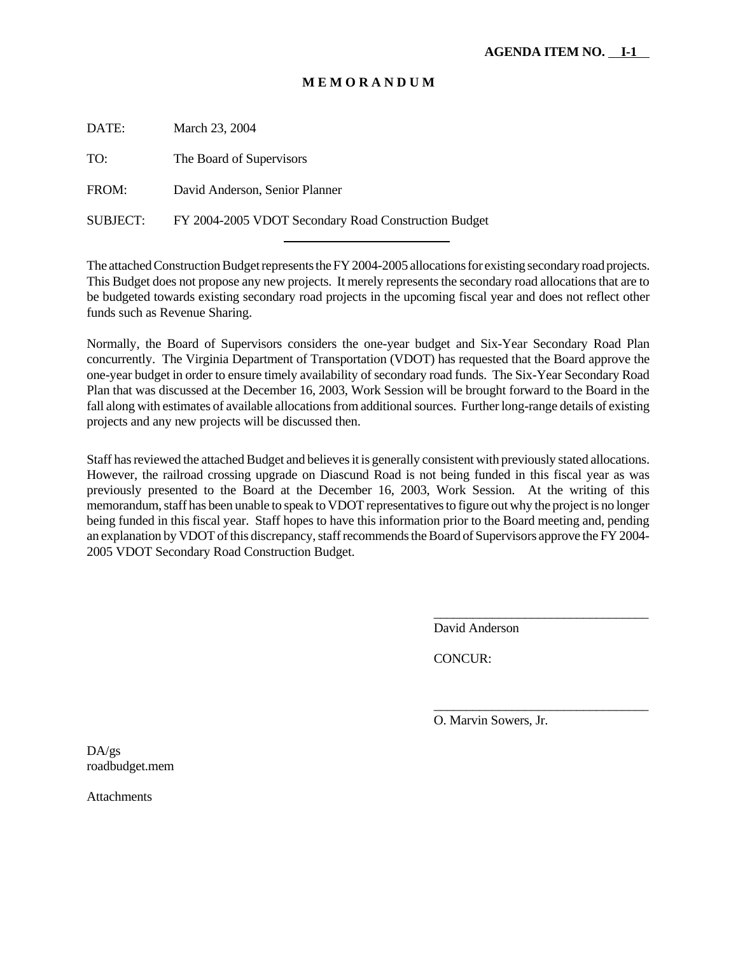# **M E M O R A N D U M**

DATE: March 23, 2004

TO: The Board of Supervisors

FROM: David Anderson, Senior Planner

SUBJECT: FY 2004-2005 VDOT Secondary Road Construction Budget l

The attached Construction Budget represents the FY 2004-2005 allocations for existing secondary road projects. This Budget does not propose any new projects. It merely represents the secondary road allocations that are to be budgeted towards existing secondary road projects in the upcoming fiscal year and does not reflect other funds such as Revenue Sharing.

Normally, the Board of Supervisors considers the one-year budget and Six-Year Secondary Road Plan concurrently. The Virginia Department of Transportation (VDOT) has requested that the Board approve the one-year budget in order to ensure timely availability of secondary road funds. The Six-Year Secondary Road Plan that was discussed at the December 16, 2003, Work Session will be brought forward to the Board in the fall along with estimates of available allocations from additional sources. Further long-range details of existing projects and any new projects will be discussed then.

Staff has reviewed the attached Budget and believes it is generally consistent with previously stated allocations. However, the railroad crossing upgrade on Diascund Road is not being funded in this fiscal year as was previously presented to the Board at the December 16, 2003, Work Session. At the writing of this memorandum, staff has been unable to speak to VDOT representatives to figure out why the project is no longer being funded in this fiscal year. Staff hopes to have this information prior to the Board meeting and, pending an explanation by VDOT of this discrepancy, staff recommends the Board of Supervisors approve the FY 2004- 2005 VDOT Secondary Road Construction Budget.

David Anderson

\_\_\_\_\_\_\_\_\_\_\_\_\_\_\_\_\_\_\_\_\_\_\_\_\_\_\_\_\_\_\_\_\_

\_\_\_\_\_\_\_\_\_\_\_\_\_\_\_\_\_\_\_\_\_\_\_\_\_\_\_\_\_\_\_\_\_

CONCUR:

O. Marvin Sowers, Jr.

DA/gs roadbudget.mem

Attachments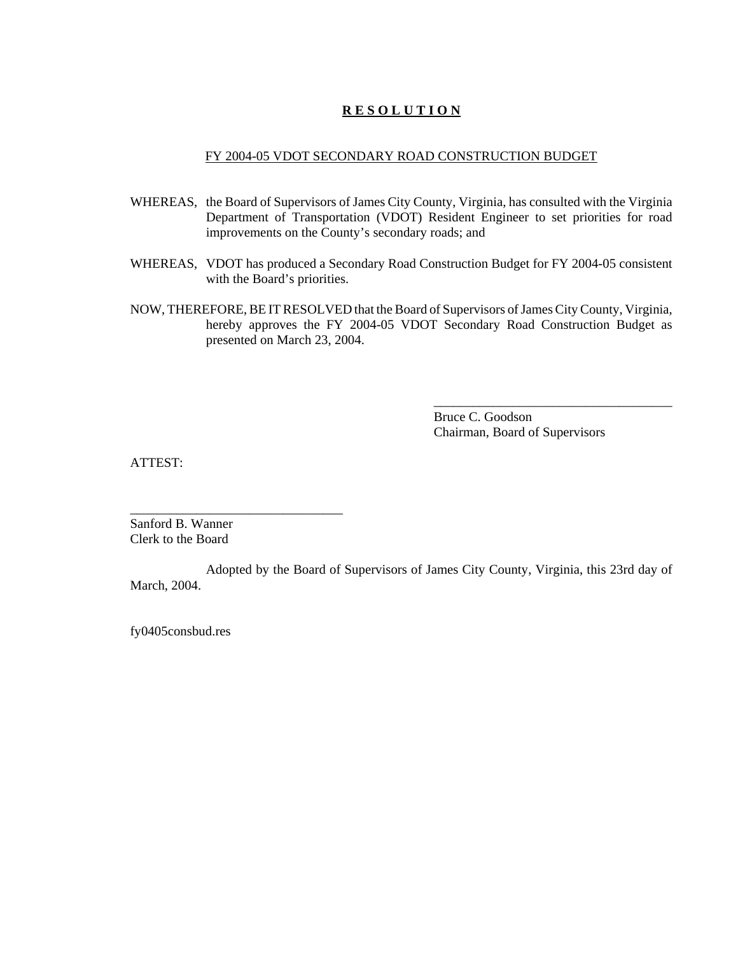# **R E S O L U T I O N**

## FY 2004-05 VDOT SECONDARY ROAD CONSTRUCTION BUDGET

- WHEREAS, the Board of Supervisors of James City County, Virginia, has consulted with the Virginia Department of Transportation (VDOT) Resident Engineer to set priorities for road improvements on the County's secondary roads; and
- WHEREAS, VDOT has produced a Secondary Road Construction Budget for FY 2004-05 consistent with the Board's priorities.
- NOW, THEREFORE, BE IT RESOLVED that the Board of Supervisors of James City County, Virginia, hereby approves the FY 2004-05 VDOT Secondary Road Construction Budget as presented on March 23, 2004.

Bruce C. Goodson Chairman, Board of Supervisors

\_\_\_\_\_\_\_\_\_\_\_\_\_\_\_\_\_\_\_\_\_\_\_\_\_\_\_\_\_\_\_\_\_\_\_\_

ATTEST:

Sanford B. Wanner Clerk to the Board

\_\_\_\_\_\_\_\_\_\_\_\_\_\_\_\_\_\_\_\_\_\_\_\_\_\_\_\_\_\_\_\_

Adopted by the Board of Supervisors of James City County, Virginia, this 23rd day of March, 2004.

fy0405consbud.res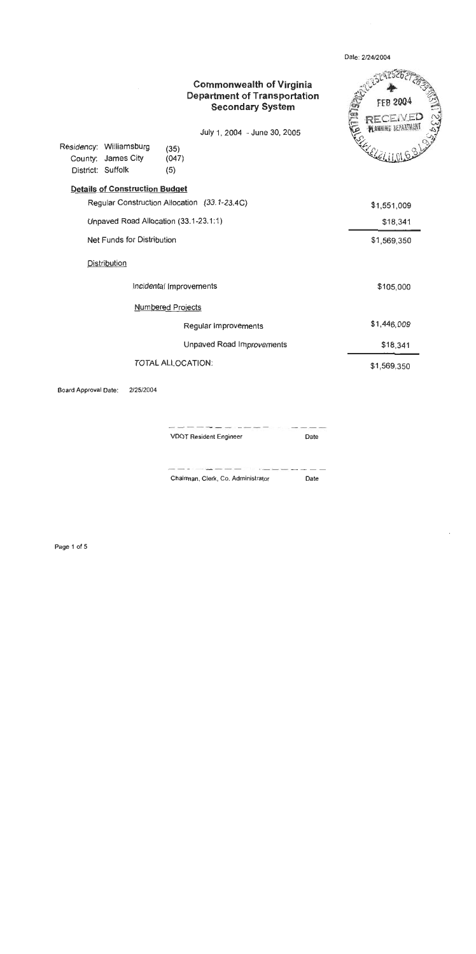| District: Suffolk | Residency: Williamsburg<br>County: James City | <b>Commonwealth of Virginia</b><br><b>Department of Transportation</b><br><b>Secondary System</b><br>July 1, 2004 - June 30, 2005<br>(35)<br>(047)<br>(5) | <b>CELERE</b><br><b>FEB 2004</b><br>253485 |
|-------------------|-----------------------------------------------|-----------------------------------------------------------------------------------------------------------------------------------------------------------|--------------------------------------------|
|                   | <b>Details of Construction Budget</b>         |                                                                                                                                                           |                                            |
|                   |                                               | Regular Construction Allocation (33.1-23.4C)                                                                                                              | \$1,551,009                                |
|                   |                                               | Unpaved Road Allocation (33.1-23.1:1)                                                                                                                     | \$18,341                                   |
|                   | <b>Net Funds for Distribution</b>             |                                                                                                                                                           | \$1,569,350                                |
|                   | Distribution                                  |                                                                                                                                                           |                                            |
|                   |                                               | Incidental Improvements                                                                                                                                   | \$105,000                                  |
|                   |                                               | <b>Numbered Projects</b>                                                                                                                                  |                                            |
|                   |                                               | Regular Improvements                                                                                                                                      | \$1,446,009                                |
|                   |                                               | Unpaved Road Improvements                                                                                                                                 | \$18,341                                   |
|                   |                                               | <b>TOTAL ALLOCATION:</b>                                                                                                                                  | \$1,569,350                                |
|                   |                                               |                                                                                                                                                           |                                            |

Date: 2/24/2004

 $\ddot{\phantom{a}}$ 

Board Approval Date: 2/25/2004

**VDOT Resident Engineer** Date

Chairman, Clerk, Co. Administrator Date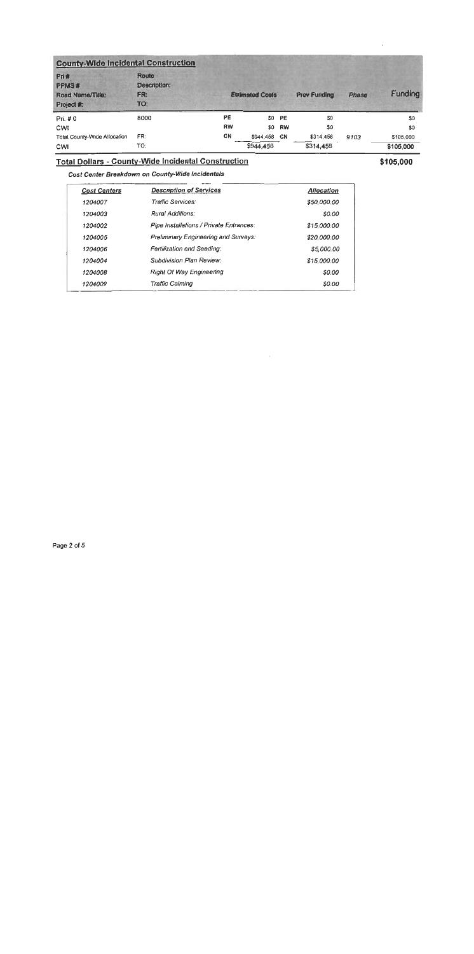| <b>County-Wide Incidental Construction</b>      |                                     |                        |              |                     |           |                |           |
|-------------------------------------------------|-------------------------------------|------------------------|--------------|---------------------|-----------|----------------|-----------|
| Pri#<br>PPMS#<br>Road Name/Title:<br>Project #: | Route<br>Description:<br>FR:<br>TO: | <b>Estimated Costs</b> |              | <b>Prev Funding</b> | Phase     | <b>Funding</b> |           |
| Pri. #0                                         | 8000                                | PE                     |              | SO PE               | SO.       |                | \$0       |
| <b>CWI</b>                                      |                                     | RW                     |              | \$0 RW              | \$0       |                | \$0       |
| Total County-Wide Allocation                    | FR:                                 | CN                     | \$944,458 CN |                     | \$314,458 | 9103           | \$105,000 |
| CWI                                             | TO:                                 |                        | \$944,458    |                     | \$314,458 |                | \$105,000 |

# **Total Dollars - County-Wide Incidental Construction**

\$105,000

Cost Center Breakdown on County-Wide Incidentals

| <b>Cost Centers</b> | <b>Description of Services</b>          | <b>Allocation</b> |
|---------------------|-----------------------------------------|-------------------|
| 1204007             | Traffic Services:                       | \$50,000.00       |
| 1204003             | Rural Additions:                        | \$0.00            |
| 1204002             | Pipe Installations / Private Entrances: | \$15,000.00       |
| 1204005             | Preliminary Engineering and Surveys:    | \$20,000.00       |
| 1204006             | Fertilization end Seeding:              | \$5,000,00        |
| 1204004             | Subdivision Plan Review:                | \$15,000.00       |
| 1204008             | <b>Right Of Way Engineering</b>         | \$0.00            |
| 1204009             | Traffic Calming                         | \$0.00            |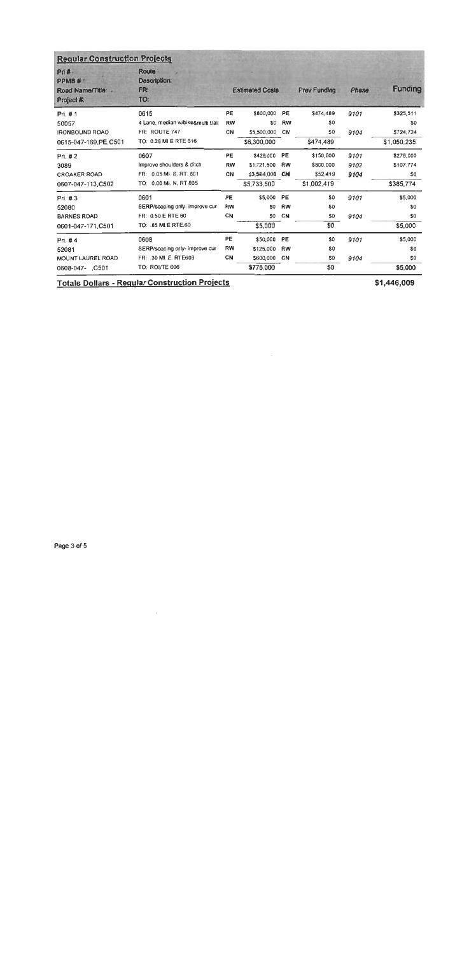| <b>Regular Construction Projects</b>               |                                            |           |                        |           |                     |       |                |
|----------------------------------------------------|--------------------------------------------|-----------|------------------------|-----------|---------------------|-------|----------------|
| Pri#.<br>PPMS#<br>Road Name/Title: .<br>Project #: | <b>Route</b><br>Description:<br>FR:<br>TO: |           | <b>Estimated Costs</b> |           | <b>Prev Funding</b> | Phase | <b>Funding</b> |
| Pri. #1                                            | 0615                                       | <b>PE</b> | \$800,000              | <b>PE</b> | \$474,489           | 9101  | \$325,511      |
| 50057                                              | 4 Lane, median w/bike&multi trail          | <b>RW</b> | S0                     | <b>RW</b> | \$0                 |       | S0             |
| <b>IRONBOUND ROAO</b>                              | FR: ROUTE 747                              | CN        | \$5,500,000            | CN        | \$0                 | 9104  | \$724.724      |
| 0615-047-169, PE C501                              | TO: 0.26 MI E RTE 616                      |           | \$6,300,000            |           | \$474,489           |       | \$1,050,235    |
| Pri. $#2$                                          | 0607                                       | PE        | \$428,000              | <b>PE</b> | \$150,000           | 9101  | \$278,000      |
| 3089                                               | Improve shoulders & ditch                  | RW        | \$1,721,500            | RW        | \$800,000           | 9102  | \$107,774      |
| <b>CROAKER ROAD</b>                                | FR: 0.05 MI. S. RT. 601                    | CN        | \$3,584,000            | CN        | \$52,419            | 9104  | \$0            |
| 0607-047-113,C502                                  | TO: 0.06 MI. N. RT.805                     |           | \$5,733,500            |           | \$1,002,419         |       | \$385,774      |
| Pri. #3                                            | 0601                                       | <b>PE</b> | \$5,000                | PE        | \$0                 | 9101  | \$5,000        |
| 52080                                              | SERP/scoping only- improve cur             | RW        | SO.                    | <b>RW</b> | \$0                 |       | S0             |
| <b>BARNES ROAD</b>                                 | FR: 0.50 E RTE 60                          | CN        | \$0                    | CN        | \$0                 | 9104  | \$0            |
| 0601-047-171, C501                                 | TO: 85 MI.E RTE.60                         |           | \$5,000                |           | \$0                 |       | \$5,000        |
| Pri. #4                                            | 0608                                       | PE        | \$50,000               | <b>PE</b> | \$0                 | 9101  | \$5,000        |
| 52081                                              | SERP/scoping only- improve cur             | <b>RW</b> | \$125,000              | <b>RW</b> | \$0                 |       | \$0            |
| <b>MOUNT LAUREL ROAD</b>                           | FR: 30 MI. E. RTE606                       | <b>CN</b> | \$600,000              | CN        | \$0                 | 9104  | \$0            |
| 0608-047- C501                                     | TO: ROUTE 606                              |           | \$775.000              |           | \$O.                |       | \$5,000        |

 $\bar{z}$ 

**Totals Dollars - Regular Construction Projects** 

\$1,446,009